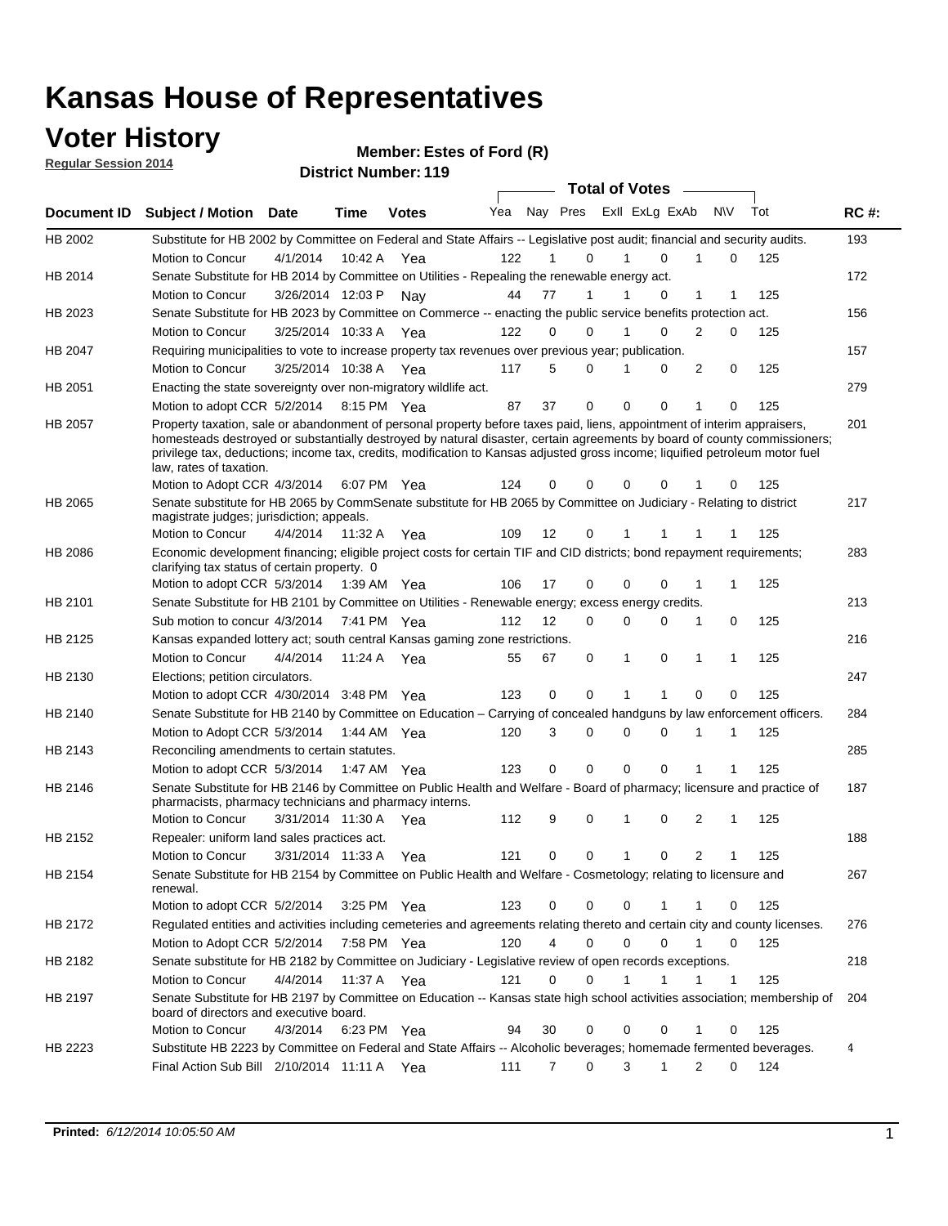# **Voter History Member: Regular Session 2014**

| דו ט∡ ווטוכּסטט וαוטןסרו                                                                                                                              |                                                                                                                                                                                                                                                                                                                                                                                                                  |                       |         | <b>District Number: 119</b> |     |    |                     |  |              |   |                   |     |             |
|-------------------------------------------------------------------------------------------------------------------------------------------------------|------------------------------------------------------------------------------------------------------------------------------------------------------------------------------------------------------------------------------------------------------------------------------------------------------------------------------------------------------------------------------------------------------------------|-----------------------|---------|-----------------------------|-----|----|---------------------|--|--------------|---|-------------------|-----|-------------|
| <b>Total of Votes</b><br>Yea<br>Nay Pres<br>Exll ExLg ExAb<br><b>NV</b><br>Tot<br><b>Votes</b><br>Document ID<br><b>Subject / Motion Date</b><br>Time |                                                                                                                                                                                                                                                                                                                                                                                                                  |                       |         |                             |     |    |                     |  |              |   |                   |     |             |
|                                                                                                                                                       |                                                                                                                                                                                                                                                                                                                                                                                                                  |                       |         |                             |     |    |                     |  |              |   |                   |     | <b>RC#:</b> |
| HB 2002                                                                                                                                               | Substitute for HB 2002 by Committee on Federal and State Affairs -- Legislative post audit; financial and security audits.                                                                                                                                                                                                                                                                                       |                       |         |                             |     |    |                     |  |              |   |                   |     | 193         |
|                                                                                                                                                       | Motion to Concur                                                                                                                                                                                                                                                                                                                                                                                                 | 4/1/2014              | 10:42 A | Yea                         | 122 |    | 1<br>$\Omega$       |  | 1            | 0 | 1<br>0            | 125 |             |
| HB 2014                                                                                                                                               | Senate Substitute for HB 2014 by Committee on Utilities - Repealing the renewable energy act.                                                                                                                                                                                                                                                                                                                    |                       |         |                             |     |    |                     |  |              |   |                   |     | 172         |
|                                                                                                                                                       | Motion to Concur                                                                                                                                                                                                                                                                                                                                                                                                 | 3/26/2014 12:03 P     |         | Nav                         | 44  | 77 | $\mathbf 1$         |  |              | 0 | 1<br>1            | 125 |             |
| HB 2023                                                                                                                                               | Senate Substitute for HB 2023 by Committee on Commerce -- enacting the public service benefits protection act.                                                                                                                                                                                                                                                                                                   |                       |         |                             |     |    |                     |  |              |   |                   |     | 156         |
|                                                                                                                                                       | Motion to Concur                                                                                                                                                                                                                                                                                                                                                                                                 | 3/25/2014 10:33 A     |         | Yea                         | 122 |    | $\Omega$<br>0       |  | 1            | 0 | 2<br>0            | 125 |             |
| HB 2047                                                                                                                                               | Requiring municipalities to vote to increase property tax revenues over previous year; publication.                                                                                                                                                                                                                                                                                                              |                       |         |                             |     |    |                     |  |              |   |                   |     | 157         |
|                                                                                                                                                       | Motion to Concur                                                                                                                                                                                                                                                                                                                                                                                                 | 3/25/2014 10:38 A Yea |         |                             | 117 |    | 5<br>$\mathbf 0$    |  |              | 0 | 2<br>$\mathbf 0$  | 125 |             |
| HB 2051                                                                                                                                               | Enacting the state sovereignty over non-migratory wildlife act.                                                                                                                                                                                                                                                                                                                                                  |                       |         |                             |     |    |                     |  |              |   |                   |     | 279         |
|                                                                                                                                                       | Motion to adopt CCR 5/2/2014 8:15 PM Yea                                                                                                                                                                                                                                                                                                                                                                         |                       |         |                             | 87  | 37 | 0                   |  | $\mathbf 0$  | 0 | 1<br>0            | 125 |             |
| HB 2057                                                                                                                                               | Property taxation, sale or abandonment of personal property before taxes paid, liens, appointment of interim appraisers,<br>homesteads destroyed or substantially destroyed by natural disaster, certain agreements by board of county commissioners;<br>privilege tax, deductions; income tax, credits, modification to Kansas adjusted gross income; liquified petroleum motor fuel<br>law, rates of taxation. |                       |         |                             |     |    | 0                   |  |              | 0 |                   |     | 201         |
|                                                                                                                                                       | Motion to Adopt CCR 4/3/2014                                                                                                                                                                                                                                                                                                                                                                                     |                       |         | 6:07 PM Yea                 | 124 |    | 0                   |  |              |   | 0                 | 125 |             |
| <b>HB 2065</b>                                                                                                                                        | Senate substitute for HB 2065 by CommSenate substitute for HB 2065 by Committee on Judiciary - Relating to district<br>magistrate judges; jurisdiction; appeals.                                                                                                                                                                                                                                                 |                       |         |                             |     |    |                     |  |              |   |                   |     | 217         |
|                                                                                                                                                       | Motion to Concur                                                                                                                                                                                                                                                                                                                                                                                                 | 4/4/2014              |         | 11:32 A Yea                 | 109 | 12 | 0                   |  | 1            | 1 | 1<br>1            | 125 |             |
| HB 2086                                                                                                                                               | Economic development financing; eligible project costs for certain TIF and CID districts; bond repayment requirements;<br>clarifying tax status of certain property. 0                                                                                                                                                                                                                                           |                       |         |                             |     |    |                     |  |              |   |                   |     | 283         |
|                                                                                                                                                       | Motion to adopt CCR 5/3/2014 1:39 AM Yea                                                                                                                                                                                                                                                                                                                                                                         |                       |         |                             | 106 | 17 | 0                   |  | 0            | 0 | 1<br>1            | 125 |             |
| HB 2101                                                                                                                                               | Senate Substitute for HB 2101 by Committee on Utilities - Renewable energy; excess energy credits.                                                                                                                                                                                                                                                                                                               |                       |         |                             |     |    |                     |  |              |   |                   |     | 213         |
|                                                                                                                                                       | Sub motion to concur 4/3/2014 7:41 PM Yea                                                                                                                                                                                                                                                                                                                                                                        |                       |         |                             | 112 | 12 | $\Omega$            |  | 0            | 0 | 0<br>1            | 125 |             |
| HB 2125                                                                                                                                               | Kansas expanded lottery act; south central Kansas gaming zone restrictions.                                                                                                                                                                                                                                                                                                                                      |                       |         |                             |     |    |                     |  |              |   |                   |     | 216         |
|                                                                                                                                                       | Motion to Concur                                                                                                                                                                                                                                                                                                                                                                                                 | 4/4/2014              |         | 11:24 A Yea                 | 55  | 67 | 0                   |  | 1            | 0 | 1<br>1            | 125 |             |
| HB 2130                                                                                                                                               | Elections; petition circulators.                                                                                                                                                                                                                                                                                                                                                                                 |                       |         |                             |     |    |                     |  |              |   |                   |     | 247         |
|                                                                                                                                                       | Motion to adopt CCR 4/30/2014 3:48 PM Yea                                                                                                                                                                                                                                                                                                                                                                        |                       |         |                             | 123 |    | 0<br>0              |  | 1            | 1 | 0<br>0            | 125 |             |
| HB 2140                                                                                                                                               | Senate Substitute for HB 2140 by Committee on Education – Carrying of concealed handguns by law enforcement officers.                                                                                                                                                                                                                                                                                            |                       |         |                             |     |    |                     |  |              |   |                   |     | 284         |
|                                                                                                                                                       | Motion to Adopt CCR 5/3/2014                                                                                                                                                                                                                                                                                                                                                                                     |                       |         | 1:44 AM Yea                 | 120 |    | 3<br>0              |  | 0            | 0 |                   | 125 |             |
| HB 2143                                                                                                                                               | Reconciling amendments to certain statutes.                                                                                                                                                                                                                                                                                                                                                                      |                       |         |                             |     |    |                     |  |              |   |                   |     | 285         |
|                                                                                                                                                       | Motion to adopt CCR 5/3/2014                                                                                                                                                                                                                                                                                                                                                                                     |                       |         | 1:47 AM Yea                 | 123 |    | 0<br>0              |  | 0            | 0 | 1<br>1            | 125 |             |
| HB 2146                                                                                                                                               | Senate Substitute for HB 2146 by Committee on Public Health and Welfare - Board of pharmacy; licensure and practice of<br>pharmacists, pharmacy technicians and pharmacy interns.                                                                                                                                                                                                                                |                       |         |                             |     |    |                     |  |              |   |                   |     | 187         |
|                                                                                                                                                       | Motion to Concur                                                                                                                                                                                                                                                                                                                                                                                                 | 3/31/2014 11:30 A     |         | Yea                         | 112 |    | 9<br>0              |  | 1            | 0 | 2<br>1            | 125 |             |
| HB 2152                                                                                                                                               | Repealer: uniform land sales practices act.                                                                                                                                                                                                                                                                                                                                                                      |                       |         |                             |     |    |                     |  |              |   |                   |     | 188         |
|                                                                                                                                                       | Motion to Concur                                                                                                                                                                                                                                                                                                                                                                                                 | 3/31/2014 11:33 A Yea |         |                             | 121 |    | 0<br>0              |  | $\mathbf{1}$ | 0 | 2                 | 125 |             |
| HB 2154                                                                                                                                               | Senate Substitute for HB 2154 by Committee on Public Health and Welfare - Cosmetology; relating to licensure and<br>renewal.                                                                                                                                                                                                                                                                                     |                       |         |                             |     |    |                     |  |              |   |                   |     | 267         |
|                                                                                                                                                       | Motion to adopt CCR 5/2/2014                                                                                                                                                                                                                                                                                                                                                                                     |                       |         | 3:25 PM Yea                 | 123 |    | 0<br>0              |  | 0            | 1 | 1<br>0            | 125 |             |
| HB 2172                                                                                                                                               | Regulated entities and activities including cemeteries and agreements relating thereto and certain city and county licenses.                                                                                                                                                                                                                                                                                     |                       |         |                             |     |    |                     |  |              |   |                   |     | 276         |
|                                                                                                                                                       | Motion to Adopt CCR 5/2/2014                                                                                                                                                                                                                                                                                                                                                                                     |                       |         | 7:58 PM Yea                 | 120 |    | 4<br>0              |  | 0            | 0 | 1<br>0            | 125 |             |
| HB 2182                                                                                                                                               | Senate substitute for HB 2182 by Committee on Judiciary - Legislative review of open records exceptions.                                                                                                                                                                                                                                                                                                         |                       |         |                             |     |    |                     |  |              |   |                   |     | 218         |
|                                                                                                                                                       | Motion to Concur                                                                                                                                                                                                                                                                                                                                                                                                 | 4/4/2014              |         | 11:37 A Yea                 | 121 |    | 0<br>0              |  | 1            | 1 | $\mathbf{1}$<br>1 | 125 |             |
| HB 2197                                                                                                                                               | Senate Substitute for HB 2197 by Committee on Education -- Kansas state high school activities association; membership of<br>board of directors and executive board.                                                                                                                                                                                                                                             |                       |         |                             |     |    |                     |  |              |   |                   |     | 204         |
|                                                                                                                                                       | Motion to Concur                                                                                                                                                                                                                                                                                                                                                                                                 | 4/3/2014              |         | 6:23 PM Yea                 | 94  | 30 | 0                   |  | 0            | 0 | 1<br>0            | 125 |             |
| HB 2223                                                                                                                                               | Substitute HB 2223 by Committee on Federal and State Affairs -- Alcoholic beverages; homemade fermented beverages.                                                                                                                                                                                                                                                                                               |                       |         |                             |     |    |                     |  |              |   |                   |     | 4           |
|                                                                                                                                                       | Final Action Sub Bill 2/10/2014 11:11 A Yea                                                                                                                                                                                                                                                                                                                                                                      |                       |         |                             | 111 |    | $\overline{7}$<br>0 |  | 3            | 1 | 2<br>0            | 124 |             |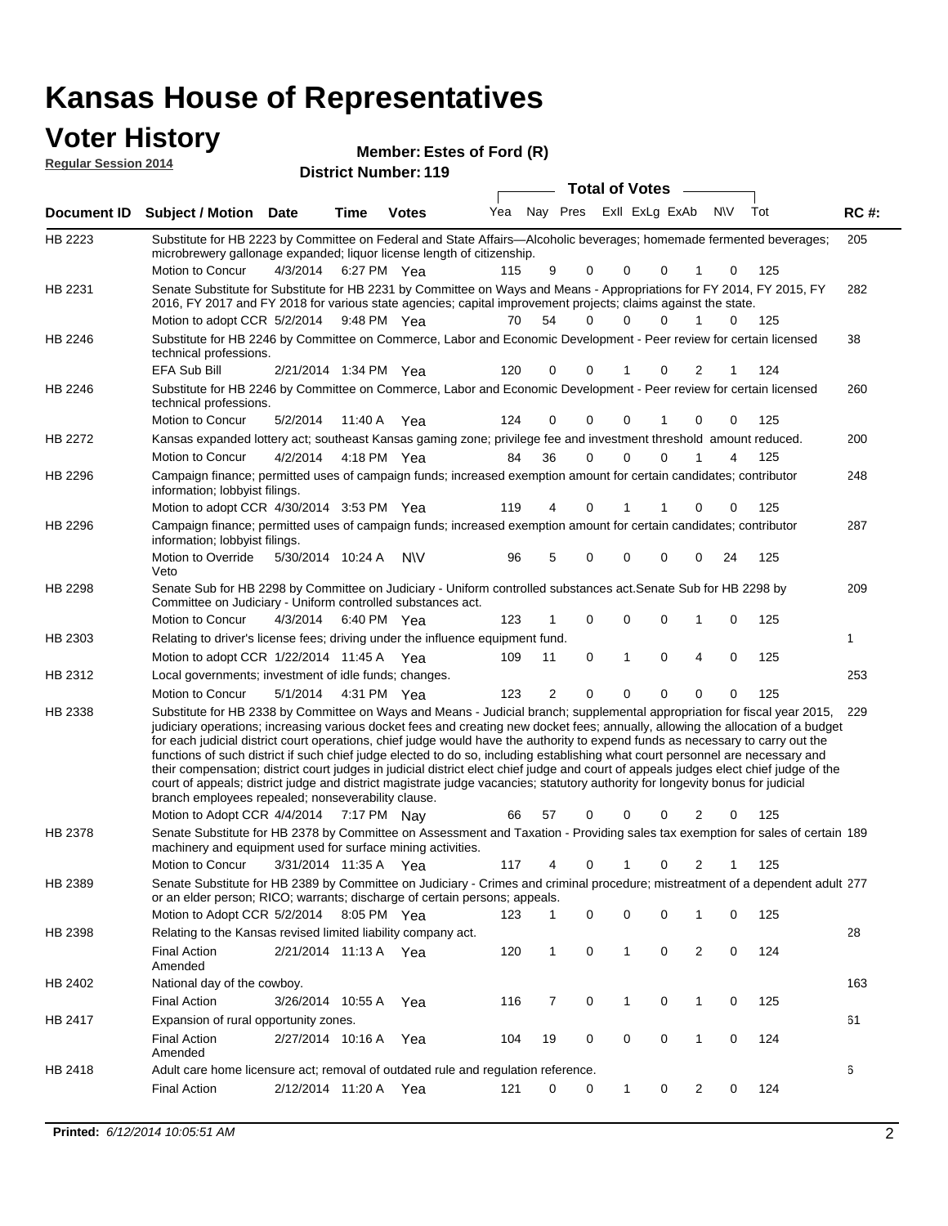#### **Voter History Regular Session 2014**

**Estes of Ford (R)**

| negurur ocssion zo i <del>⊣</del> |                                                                                                                                                                                                                                                                                                                                                                                                                                                                                                                                                                                                                                                                                                                                                                                                                                                                                                                 | <b>District Number: 119</b> |             |              |     |          |             |                  |   |              |     |             |
|-----------------------------------|-----------------------------------------------------------------------------------------------------------------------------------------------------------------------------------------------------------------------------------------------------------------------------------------------------------------------------------------------------------------------------------------------------------------------------------------------------------------------------------------------------------------------------------------------------------------------------------------------------------------------------------------------------------------------------------------------------------------------------------------------------------------------------------------------------------------------------------------------------------------------------------------------------------------|-----------------------------|-------------|--------------|-----|----------|-------------|------------------|---|--------------|-----|-------------|
|                                   |                                                                                                                                                                                                                                                                                                                                                                                                                                                                                                                                                                                                                                                                                                                                                                                                                                                                                                                 |                             |             |              |     |          |             | Total of Votes - |   |              |     |             |
| Document ID                       | <b>Subject / Motion Date</b>                                                                                                                                                                                                                                                                                                                                                                                                                                                                                                                                                                                                                                                                                                                                                                                                                                                                                    |                             | <b>Time</b> | <b>Votes</b> | Yea | Nay Pres |             | Exll ExLg ExAb   |   | <b>NV</b>    | Tot | <b>RC#:</b> |
| HB 2223                           | Substitute for HB 2223 by Committee on Federal and State Affairs-Alcoholic beverages; homemade fermented beverages;                                                                                                                                                                                                                                                                                                                                                                                                                                                                                                                                                                                                                                                                                                                                                                                             |                             |             |              |     |          |             |                  |   |              |     | 205         |
|                                   | microbrewery gallonage expanded; liquor license length of citizenship.<br>Motion to Concur                                                                                                                                                                                                                                                                                                                                                                                                                                                                                                                                                                                                                                                                                                                                                                                                                      | 4/3/2014                    |             |              | 115 |          |             | 0                |   |              | 125 |             |
|                                   |                                                                                                                                                                                                                                                                                                                                                                                                                                                                                                                                                                                                                                                                                                                                                                                                                                                                                                                 |                             |             | 6:27 PM Yea  |     | 9        | 0           | 0                |   | 0            |     |             |
| HB 2231                           | Senate Substitute for Substitute for HB 2231 by Committee on Ways and Means - Appropriations for FY 2014, FY 2015, FY<br>2016, FY 2017 and FY 2018 for various state agencies; capital improvement projects; claims against the state.                                                                                                                                                                                                                                                                                                                                                                                                                                                                                                                                                                                                                                                                          |                             |             |              |     |          |             |                  |   |              |     | 282         |
|                                   | Motion to adopt CCR 5/2/2014                                                                                                                                                                                                                                                                                                                                                                                                                                                                                                                                                                                                                                                                                                                                                                                                                                                                                    |                             |             | 9:48 PM Yea  | 70  | 54       | 0           | 0<br>0           | 1 | 0            | 125 |             |
| HB 2246                           | Substitute for HB 2246 by Committee on Commerce, Labor and Economic Development - Peer review for certain licensed<br>technical professions.                                                                                                                                                                                                                                                                                                                                                                                                                                                                                                                                                                                                                                                                                                                                                                    |                             |             |              |     |          |             |                  |   |              |     | 38          |
|                                   | <b>EFA Sub Bill</b>                                                                                                                                                                                                                                                                                                                                                                                                                                                                                                                                                                                                                                                                                                                                                                                                                                                                                             | 2/21/2014 1:34 PM Yea       |             |              | 120 | 0        | 0           | 0<br>1           | 2 |              | 124 |             |
| <b>HB 2246</b>                    | Substitute for HB 2246 by Committee on Commerce, Labor and Economic Development - Peer review for certain licensed<br>technical professions.                                                                                                                                                                                                                                                                                                                                                                                                                                                                                                                                                                                                                                                                                                                                                                    |                             |             |              |     |          |             |                  |   |              |     | 260         |
|                                   | Motion to Concur                                                                                                                                                                                                                                                                                                                                                                                                                                                                                                                                                                                                                                                                                                                                                                                                                                                                                                | 5/2/2014                    |             | 11:40 A Yea  | 124 | 0        | 0           | 0                | 0 | 0            | 125 |             |
| HB 2272                           | Kansas expanded lottery act; southeast Kansas gaming zone; privilege fee and investment threshold amount reduced.                                                                                                                                                                                                                                                                                                                                                                                                                                                                                                                                                                                                                                                                                                                                                                                               |                             |             |              |     |          |             |                  |   |              |     | 200         |
|                                   | Motion to Concur                                                                                                                                                                                                                                                                                                                                                                                                                                                                                                                                                                                                                                                                                                                                                                                                                                                                                                | 4/2/2014                    |             | 4:18 PM Yea  | 84  | 36       | 0           | 0<br>0           |   | 4            | 125 |             |
| HB 2296                           | Campaign finance; permitted uses of campaign funds; increased exemption amount for certain candidates; contributor<br>information; lobbyist filings.                                                                                                                                                                                                                                                                                                                                                                                                                                                                                                                                                                                                                                                                                                                                                            |                             |             |              |     |          |             |                  |   |              |     | 248         |
|                                   | Motion to adopt CCR 4/30/2014 3:53 PM Yea                                                                                                                                                                                                                                                                                                                                                                                                                                                                                                                                                                                                                                                                                                                                                                                                                                                                       |                             |             |              | 119 | 4        | 0           | 1<br>1           | 0 | 0            | 125 |             |
| <b>HB 2296</b>                    | Campaign finance; permitted uses of campaign funds; increased exemption amount for certain candidates; contributor                                                                                                                                                                                                                                                                                                                                                                                                                                                                                                                                                                                                                                                                                                                                                                                              |                             |             |              |     |          |             |                  |   |              |     | 287         |
|                                   | information; lobbyist filings.<br>Motion to Override<br>Veto                                                                                                                                                                                                                                                                                                                                                                                                                                                                                                                                                                                                                                                                                                                                                                                                                                                    | 5/30/2014 10:24 A           |             | <b>NV</b>    | 96  | 5        | $\mathbf 0$ | 0<br>0           | 0 | 24           | 125 |             |
| HB 2298                           | Senate Sub for HB 2298 by Committee on Judiciary - Uniform controlled substances act. Senate Sub for HB 2298 by<br>Committee on Judiciary - Uniform controlled substances act.                                                                                                                                                                                                                                                                                                                                                                                                                                                                                                                                                                                                                                                                                                                                  |                             |             |              |     |          |             |                  |   |              |     | 209         |
|                                   | Motion to Concur                                                                                                                                                                                                                                                                                                                                                                                                                                                                                                                                                                                                                                                                                                                                                                                                                                                                                                | 4/3/2014                    |             | 6:40 PM Yea  | 123 | 1        | $\mathbf 0$ | 0<br>0           | 1 | 0            | 125 |             |
| HB 2303                           | Relating to driver's license fees; driving under the influence equipment fund.                                                                                                                                                                                                                                                                                                                                                                                                                                                                                                                                                                                                                                                                                                                                                                                                                                  |                             |             |              |     |          |             |                  |   |              |     | 1           |
|                                   | Motion to adopt CCR 1/22/2014 11:45 A Yea                                                                                                                                                                                                                                                                                                                                                                                                                                                                                                                                                                                                                                                                                                                                                                                                                                                                       |                             |             |              | 109 | 11       | 0           | 1<br>0           | 4 | $\Omega$     | 125 |             |
| HB 2312                           | Local governments; investment of idle funds; changes.                                                                                                                                                                                                                                                                                                                                                                                                                                                                                                                                                                                                                                                                                                                                                                                                                                                           |                             |             |              |     |          |             |                  |   |              |     | 253         |
|                                   | Motion to Concur                                                                                                                                                                                                                                                                                                                                                                                                                                                                                                                                                                                                                                                                                                                                                                                                                                                                                                | 5/1/2014                    |             | 4:31 PM Yea  | 123 | 2        | $\Omega$    | $\Omega$<br>0    | 0 | 0            | 125 |             |
| HB 2338                           | Substitute for HB 2338 by Committee on Ways and Means - Judicial branch; supplemental appropriation for fiscal year 2015,<br>judiciary operations; increasing various docket fees and creating new docket fees; annually, allowing the allocation of a budget<br>for each judicial district court operations, chief judge would have the authority to expend funds as necessary to carry out the<br>functions of such district if such chief judge elected to do so, including establishing what court personnel are necessary and<br>their compensation; district court judges in judicial district elect chief judge and court of appeals judges elect chief judge of the<br>court of appeals; district judge and district magistrate judge vacancies; statutory authority for longevity bonus for judicial<br>branch employees repealed; nonseverability clause.<br>Motion to Adopt CCR 4/4/2014 7:17 PM Nay |                             |             |              | 66  | 57       | 0           | 0<br>0           | 2 | 0            | 125 | 229         |
| HB 2378                           | Senate Substitute for HB 2378 by Committee on Assessment and Taxation - Providing sales tax exemption for sales of certain 189                                                                                                                                                                                                                                                                                                                                                                                                                                                                                                                                                                                                                                                                                                                                                                                  |                             |             |              |     |          |             |                  |   |              |     |             |
|                                   | machinery and equipment used for surface mining activities.<br>Motion to Concur                                                                                                                                                                                                                                                                                                                                                                                                                                                                                                                                                                                                                                                                                                                                                                                                                                 |                             |             |              |     |          | 0           | 1<br>0           |   |              |     |             |
| HB 2389                           | Senate Substitute for HB 2389 by Committee on Judiciary - Crimes and criminal procedure; mistreatment of a dependent adult 277                                                                                                                                                                                                                                                                                                                                                                                                                                                                                                                                                                                                                                                                                                                                                                                  | 3/31/2014 11:35 A           |             | Yea          | 117 | 4        |             |                  | 2 | $\mathbf{1}$ | 125 |             |
|                                   | or an elder person; RICO; warrants; discharge of certain persons; appeals.<br>Motion to Adopt CCR 5/2/2014 8:05 PM Yea                                                                                                                                                                                                                                                                                                                                                                                                                                                                                                                                                                                                                                                                                                                                                                                          |                             |             |              | 123 | 1.       | 0           | 0<br>0           | 1 | 0            | 125 |             |
| HB 2398                           | Relating to the Kansas revised limited liability company act.                                                                                                                                                                                                                                                                                                                                                                                                                                                                                                                                                                                                                                                                                                                                                                                                                                                   |                             |             |              |     |          |             |                  |   |              |     | 28          |
|                                   | Final Action<br>Amended                                                                                                                                                                                                                                                                                                                                                                                                                                                                                                                                                                                                                                                                                                                                                                                                                                                                                         | 2/21/2014 11:13 A Yea       |             |              | 120 | 1        | 0           | 1<br>0           | 2 | 0            | 124 |             |
| HB 2402                           | National day of the cowboy.                                                                                                                                                                                                                                                                                                                                                                                                                                                                                                                                                                                                                                                                                                                                                                                                                                                                                     |                             |             |              |     |          |             |                  |   |              |     | 163         |
|                                   | <b>Final Action</b>                                                                                                                                                                                                                                                                                                                                                                                                                                                                                                                                                                                                                                                                                                                                                                                                                                                                                             | 3/26/2014 10:55 A           |             | Yea          | 116 | 7        | 0           | 1<br>0           | 1 | 0            | 125 |             |
| HB 2417                           | Expansion of rural opportunity zones.                                                                                                                                                                                                                                                                                                                                                                                                                                                                                                                                                                                                                                                                                                                                                                                                                                                                           |                             |             |              |     |          |             |                  |   |              |     | 61          |
|                                   | <b>Final Action</b><br>Amended                                                                                                                                                                                                                                                                                                                                                                                                                                                                                                                                                                                                                                                                                                                                                                                                                                                                                  | 2/27/2014 10:16 A           |             | Yea          | 104 | 19       | 0           | 0<br>0           | 1 | 0            | 124 |             |
| HB 2418                           | Adult care home licensure act; removal of outdated rule and regulation reference.                                                                                                                                                                                                                                                                                                                                                                                                                                                                                                                                                                                                                                                                                                                                                                                                                               |                             |             |              |     |          |             |                  |   |              |     | 6           |
|                                   | <b>Final Action</b>                                                                                                                                                                                                                                                                                                                                                                                                                                                                                                                                                                                                                                                                                                                                                                                                                                                                                             | 2/12/2014 11:20 A           |             | Yea          | 121 | 0        | 0           | 1<br>0           | 2 | 0            | 124 |             |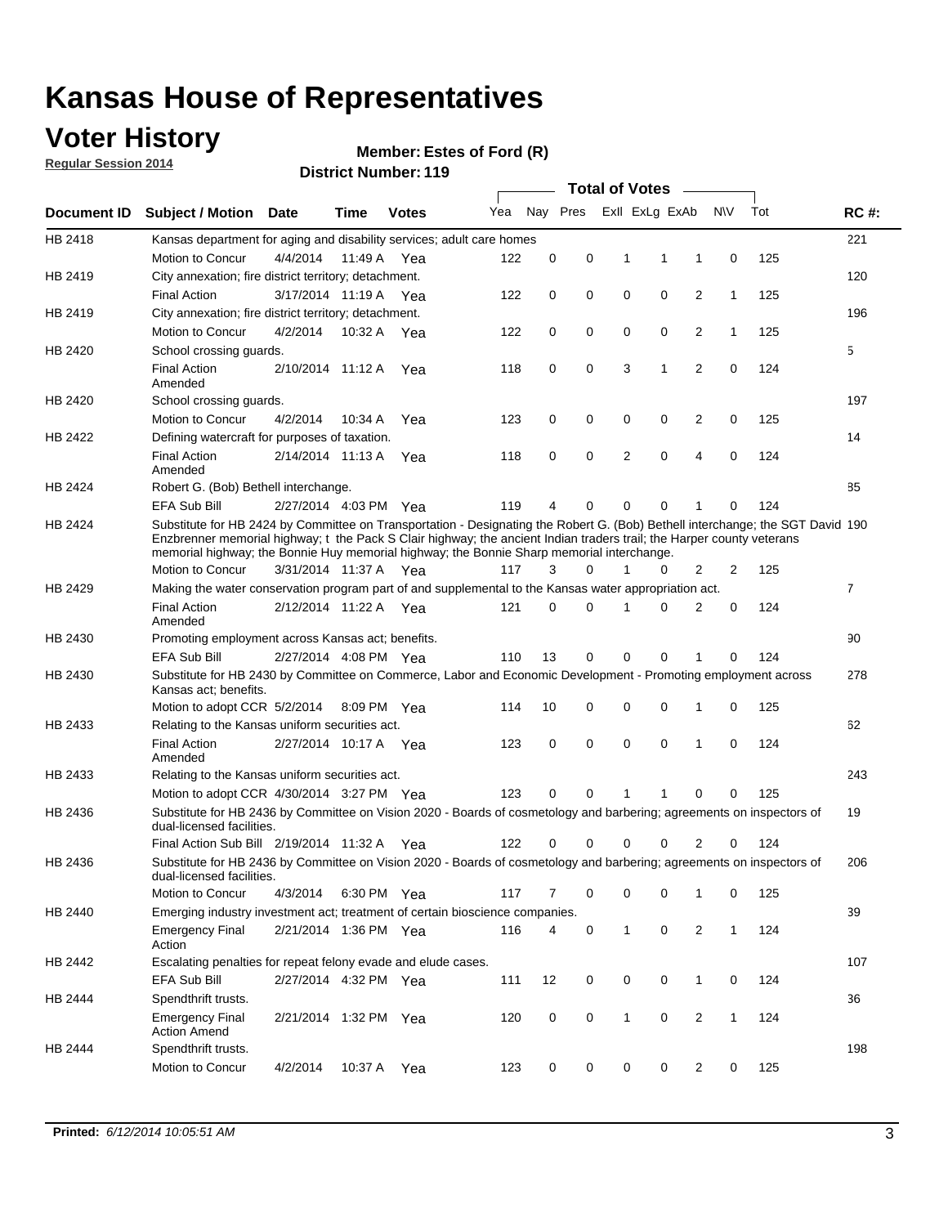### **Voter History**

**Regular Session 2014**

#### **Member: Estes of Ford (R)**

|             |                                                                                                                                                                                                                                                                                                                                                      | ul Ituliinui .<br><b>Total of Votes</b> |             |              |     |    |          |              |                |                |              |     |                |
|-------------|------------------------------------------------------------------------------------------------------------------------------------------------------------------------------------------------------------------------------------------------------------------------------------------------------------------------------------------------------|-----------------------------------------|-------------|--------------|-----|----|----------|--------------|----------------|----------------|--------------|-----|----------------|
| Document ID | <b>Subject / Motion Date</b>                                                                                                                                                                                                                                                                                                                         |                                         | <b>Time</b> | <b>Votes</b> | Yea |    | Nay Pres |              | Exll ExLg ExAb |                | N\V          | Tot | <b>RC#:</b>    |
| HB 2418     | Kansas department for aging and disability services; adult care homes                                                                                                                                                                                                                                                                                |                                         |             |              |     |    |          |              |                |                |              |     | 221            |
|             | Motion to Concur                                                                                                                                                                                                                                                                                                                                     | 4/4/2014                                | 11:49 A     | Yea          | 122 | 0  | 0        | 1            | 1              | 1              | 0            | 125 |                |
| HB 2419     | City annexation; fire district territory; detachment.                                                                                                                                                                                                                                                                                                |                                         |             |              |     |    |          |              |                |                |              |     | 120            |
|             | <b>Final Action</b>                                                                                                                                                                                                                                                                                                                                  | 3/17/2014 11:19 A Yea                   |             |              | 122 | 0  | 0        | 0            | 0              | $\overline{2}$ | $\mathbf{1}$ | 125 |                |
| HB 2419     | City annexation; fire district territory; detachment.                                                                                                                                                                                                                                                                                                |                                         |             |              |     |    |          |              |                |                |              |     | 196            |
|             | Motion to Concur                                                                                                                                                                                                                                                                                                                                     | 4/2/2014                                | 10:32 A     | Yea          | 122 | 0  | 0        | 0            | 0              | 2              | $\mathbf{1}$ | 125 |                |
| HB 2420     | School crossing quards.                                                                                                                                                                                                                                                                                                                              |                                         |             |              |     |    |          |              |                |                |              |     | 5              |
|             | <b>Final Action</b><br>Amended                                                                                                                                                                                                                                                                                                                       | 2/10/2014 11:12 A                       |             | Yea          | 118 | 0  | 0        | 3            | $\mathbf{1}$   | $\overline{2}$ | 0            | 124 |                |
| HB 2420     | School crossing guards.                                                                                                                                                                                                                                                                                                                              |                                         |             |              |     |    |          |              |                |                |              |     | 197            |
|             | Motion to Concur                                                                                                                                                                                                                                                                                                                                     | 4/2/2014                                | 10:34 A     | Yea          | 123 | 0  | 0        | 0            | 0              | 2              | 0            | 125 |                |
| HB 2422     | Defining watercraft for purposes of taxation.                                                                                                                                                                                                                                                                                                        |                                         |             |              |     |    |          |              |                |                |              |     | 14             |
|             | <b>Final Action</b><br>Amended                                                                                                                                                                                                                                                                                                                       | 2/14/2014 11:13 A                       |             | Yea          | 118 | 0  | 0        | 2            | $\mathbf 0$    | 4              | 0            | 124 |                |
| HB 2424     | Robert G. (Bob) Bethell interchange.                                                                                                                                                                                                                                                                                                                 |                                         |             |              |     |    |          |              |                |                |              |     | 85             |
|             | EFA Sub Bill                                                                                                                                                                                                                                                                                                                                         | 2/27/2014 4:03 PM Yea                   |             |              | 119 | 4  | 0        | 0            | $\mathbf 0$    |                | 0            | 124 |                |
| HB 2424     | Substitute for HB 2424 by Committee on Transportation - Designating the Robert G. (Bob) Bethell interchange; the SGT David 190<br>Enzbrenner memorial highway; t the Pack S Clair highway; the ancient Indian traders trail; the Harper county veterans<br>memorial highway; the Bonnie Huy memorial highway; the Bonnie Sharp memorial interchange. |                                         |             |              |     |    |          |              |                |                |              |     |                |
|             | Motion to Concur                                                                                                                                                                                                                                                                                                                                     | 3/31/2014 11:37 A Yea                   |             |              | 117 | 3  | 0        | 1            | 0              | 2              | 2            | 125 |                |
| HB 2429     | Making the water conservation program part of and supplemental to the Kansas water appropriation act.                                                                                                                                                                                                                                                |                                         |             |              |     |    |          |              |                |                |              |     | $\overline{7}$ |
|             | <b>Final Action</b><br>Amended                                                                                                                                                                                                                                                                                                                       | 2/12/2014 11:22 A                       |             | Yea          | 121 | 0  | 0        | 1            | $\Omega$       | 2              | 0            | 124 |                |
| HB 2430     | Promoting employment across Kansas act; benefits.                                                                                                                                                                                                                                                                                                    |                                         |             |              |     |    |          |              |                |                |              |     | 90             |
|             | EFA Sub Bill                                                                                                                                                                                                                                                                                                                                         | 2/27/2014 4:08 PM Yea                   |             |              | 110 | 13 | 0        | 0            | $\Omega$       | 1              | $\Omega$     | 124 |                |
| HB 2430     | Substitute for HB 2430 by Committee on Commerce, Labor and Economic Development - Promoting employment across<br>Kansas act; benefits.                                                                                                                                                                                                               |                                         |             |              |     |    |          |              |                |                |              |     | 278            |
|             | Motion to adopt CCR 5/2/2014                                                                                                                                                                                                                                                                                                                         |                                         |             | 8:09 PM Yea  | 114 | 10 | 0        | 0            | $\mathbf 0$    | 1              | 0            | 125 |                |
| HB 2433     | Relating to the Kansas uniform securities act.                                                                                                                                                                                                                                                                                                       |                                         |             |              |     |    |          |              |                |                |              |     | 62             |
|             | <b>Final Action</b><br>Amended                                                                                                                                                                                                                                                                                                                       | 2/27/2014 10:17 A Yea                   |             |              | 123 | 0  | 0        | 0            | 0              | 1              | 0            | 124 |                |
| HB 2433     | Relating to the Kansas uniform securities act.                                                                                                                                                                                                                                                                                                       |                                         |             |              |     |    |          |              |                |                |              |     | 243            |
|             | Motion to adopt CCR 4/30/2014 3:27 PM Yea                                                                                                                                                                                                                                                                                                            |                                         |             |              | 123 | 0  | 0        | 1            | 1              | 0              | 0            | 125 |                |
| HB 2436     | Substitute for HB 2436 by Committee on Vision 2020 - Boards of cosmetology and barbering; agreements on inspectors of<br>dual-licensed facilities.                                                                                                                                                                                                   |                                         |             |              |     |    |          |              |                |                |              |     | 19             |
|             | Final Action Sub Bill 2/19/2014 11:32 A                                                                                                                                                                                                                                                                                                              |                                         |             | Yea          | 122 | 0  | 0        | 0            | 0              | 2              | $\Omega$     | 124 |                |
| HB 2436     | Substitute for HB 2436 by Committee on Vision 2020 - Boards of cosmetology and barbering; agreements on inspectors of<br>dual-licensed facilities.                                                                                                                                                                                                   |                                         |             |              |     |    |          |              |                |                |              |     | 206            |
|             | Motion to Concur                                                                                                                                                                                                                                                                                                                                     | 4/3/2014                                |             | 6:30 PM Yea  | 117 | 7  | 0        | 0            | 0              | 1              | 0            | 125 |                |
| HB 2440     | Emerging industry investment act; treatment of certain bioscience companies.                                                                                                                                                                                                                                                                         |                                         |             |              |     |    |          |              |                |                |              |     | 39             |
|             | <b>Emergency Final</b><br>Action                                                                                                                                                                                                                                                                                                                     | 2/21/2014 1:36 PM Yea                   |             |              | 116 | 4  | 0        | $\mathbf{1}$ | 0              | 2              | $\mathbf{1}$ | 124 |                |
| HB 2442     | Escalating penalties for repeat felony evade and elude cases.                                                                                                                                                                                                                                                                                        |                                         |             |              |     |    |          |              |                |                |              |     | 107            |
|             | <b>EFA Sub Bill</b>                                                                                                                                                                                                                                                                                                                                  | 2/27/2014 4:32 PM Yea                   |             |              | 111 | 12 | 0        | 0            | 0              | $\mathbf{1}$   | $\mathbf 0$  | 124 |                |
| HB 2444     | Spendthrift trusts.                                                                                                                                                                                                                                                                                                                                  |                                         |             |              |     |    |          |              |                |                |              |     | 36             |
|             | <b>Emergency Final</b><br><b>Action Amend</b>                                                                                                                                                                                                                                                                                                        | 2/21/2014 1:32 PM Yea                   |             |              | 120 | 0  | 0        | $\mathbf{1}$ | 0              | 2              | $\mathbf{1}$ | 124 |                |
| HB 2444     | Spendthrift trusts.<br>Motion to Concur                                                                                                                                                                                                                                                                                                              | 4/2/2014                                | 10:37 A     | Yea          | 123 | 0  | 0        | 0            | 0              | $\overline{2}$ | 0            | 125 | 198            |
|             |                                                                                                                                                                                                                                                                                                                                                      |                                         |             |              |     |    |          |              |                |                |              |     |                |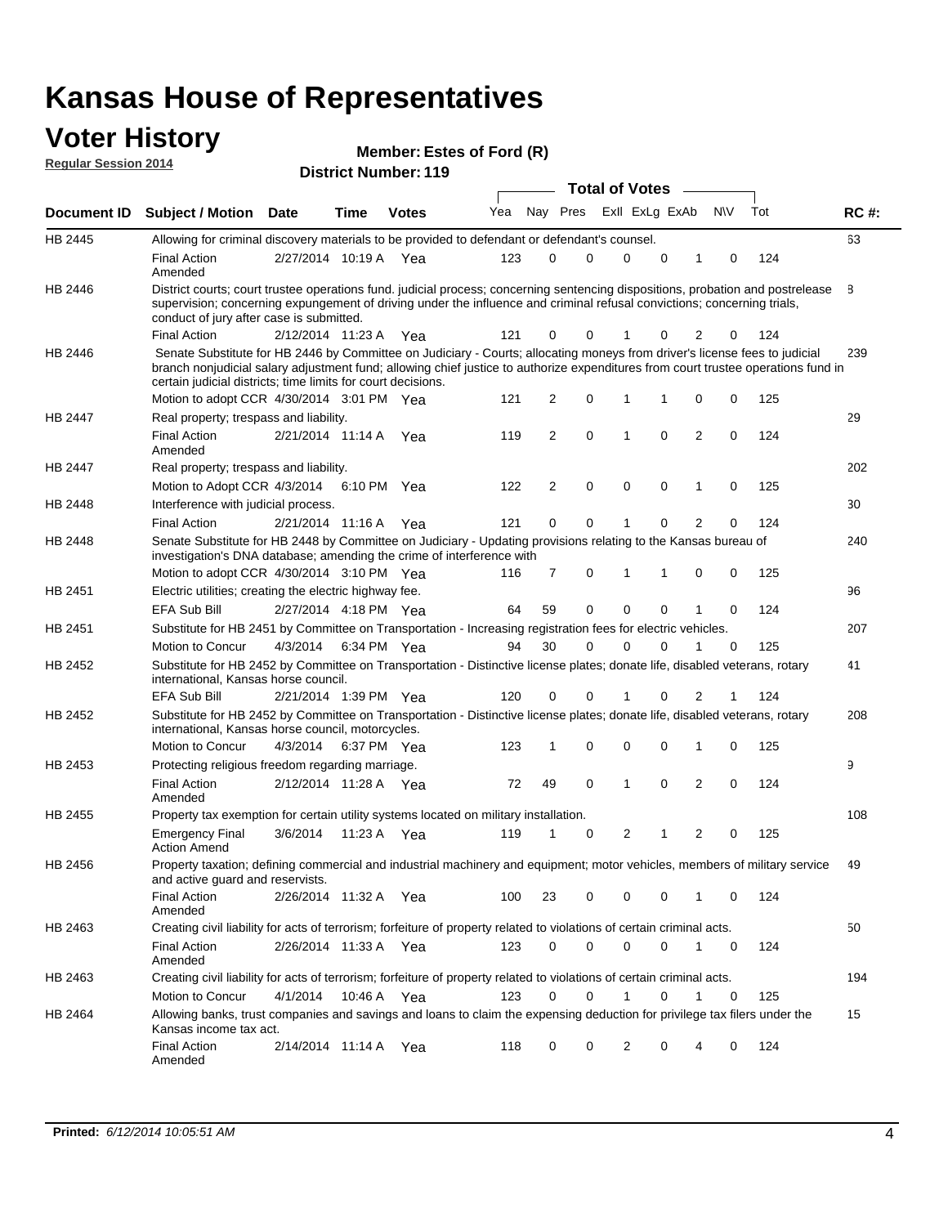### **Voter History**

| <b>Regular Session 2014</b> |                                                                                                                                                                                                                                                                                                                                 | <b>INTERITURE:</b> $ESES$ of $FOTQ$ $(R)$ |             |                             |     |             |          |  |                       |                |                |             |     |             |
|-----------------------------|---------------------------------------------------------------------------------------------------------------------------------------------------------------------------------------------------------------------------------------------------------------------------------------------------------------------------------|-------------------------------------------|-------------|-----------------------------|-----|-------------|----------|--|-----------------------|----------------|----------------|-------------|-----|-------------|
|                             |                                                                                                                                                                                                                                                                                                                                 |                                           |             | <b>District Number: 119</b> |     |             |          |  | <b>Total of Votes</b> |                |                |             |     |             |
| Document ID                 | <b>Subject / Motion</b>                                                                                                                                                                                                                                                                                                         | <b>Date</b>                               | Time        | <b>Votes</b>                | Yea |             | Nay Pres |  |                       | Exll ExLg ExAb |                | <b>NV</b>   | Tot | <b>RC#:</b> |
| <b>HB 2445</b>              | Allowing for criminal discovery materials to be provided to defendant or defendant's counsel.                                                                                                                                                                                                                                   |                                           |             |                             |     |             |          |  |                       |                |                |             |     | 63          |
|                             | <b>Final Action</b><br>Amended                                                                                                                                                                                                                                                                                                  | 2/27/2014 10:19 A Yea                     |             |                             | 123 | 0           | 0        |  | $\mathbf 0$           | $\mathbf 0$    | 1              | 0           | 124 |             |
| HB 2446                     | District courts; court trustee operations fund. judicial process; concerning sentencing dispositions, probation and postrelease<br>supervision; concerning expungement of driving under the influence and criminal refusal convictions; concerning trials,<br>conduct of jury after case is submitted.                          |                                           |             |                             |     |             |          |  |                       |                |                |             |     | 8           |
|                             | <b>Final Action</b>                                                                                                                                                                                                                                                                                                             | 2/12/2014 11:23 A Yea                     |             |                             | 121 | 0           | 0        |  |                       | 0              | 2              | 0           | 124 |             |
| HB 2446                     | Senate Substitute for HB 2446 by Committee on Judiciary - Courts; allocating moneys from driver's license fees to judicial<br>branch nonjudicial salary adjustment fund; allowing chief justice to authorize expenditures from court trustee operations fund in<br>certain judicial districts; time limits for court decisions. |                                           |             |                             |     |             |          |  |                       |                |                |             |     | 239         |
|                             | Motion to adopt CCR 4/30/2014 3:01 PM Yea                                                                                                                                                                                                                                                                                       |                                           |             |                             | 121 | 2           | 0        |  | 1                     | 1              | 0              | 0           | 125 |             |
| <b>HB 2447</b>              | Real property; trespass and liability.                                                                                                                                                                                                                                                                                          |                                           |             |                             |     |             |          |  |                       |                |                |             |     | 29          |
|                             | <b>Final Action</b><br>Amended                                                                                                                                                                                                                                                                                                  | 2/21/2014 11:14 A                         |             | Yea                         | 119 | 2           | 0        |  | $\mathbf{1}$          | $\mathbf 0$    | $\overline{2}$ | $\mathbf 0$ | 124 |             |
| HB 2447                     | Real property; trespass and liability.                                                                                                                                                                                                                                                                                          |                                           |             |                             |     |             |          |  |                       |                |                |             |     | 202         |
|                             | Motion to Adopt CCR 4/3/2014 6:10 PM Yea                                                                                                                                                                                                                                                                                        |                                           |             |                             | 122 | 2           | 0        |  | 0                     | 0              | 1              | 0           | 125 |             |
| HB 2448                     | Interference with judicial process.                                                                                                                                                                                                                                                                                             |                                           |             |                             |     |             |          |  |                       |                |                |             |     | 30          |
|                             | <b>Final Action</b>                                                                                                                                                                                                                                                                                                             | 2/21/2014 11:16 A                         |             | Yea                         | 121 | $\mathbf 0$ | 0        |  | 1                     | 0              | $\overline{2}$ | 0           | 124 |             |
| HB 2448                     | Senate Substitute for HB 2448 by Committee on Judiciary - Updating provisions relating to the Kansas bureau of<br>investigation's DNA database; amending the crime of interference with<br>Motion to adopt CCR 4/30/2014 3:10 PM Yea                                                                                            |                                           |             |                             | 116 | 7           | 0        |  | $\mathbf{1}$          | 1              | 0              | 0           | 125 | 240         |
| HB 2451                     | Electric utilities; creating the electric highway fee.                                                                                                                                                                                                                                                                          |                                           |             |                             |     |             |          |  |                       |                |                |             |     | 96          |
|                             | <b>EFA Sub Bill</b>                                                                                                                                                                                                                                                                                                             | 2/27/2014 4:18 PM Yea                     |             |                             | 64  | 59          | 0        |  | $\Omega$              | 0              | 1              | $\Omega$    | 124 |             |
| HB 2451                     | Substitute for HB 2451 by Committee on Transportation - Increasing registration fees for electric vehicles.                                                                                                                                                                                                                     |                                           |             |                             |     |             |          |  |                       |                |                |             |     | 207         |
|                             | Motion to Concur                                                                                                                                                                                                                                                                                                                | 4/3/2014                                  | 6:34 PM Yea |                             | 94  | 30          | 0        |  | $\Omega$              | 0              | 1              | 0           | 125 |             |
| HB 2452                     | Substitute for HB 2452 by Committee on Transportation - Distinctive license plates; donate life, disabled veterans, rotary<br>international, Kansas horse council.                                                                                                                                                              |                                           |             |                             |     |             |          |  |                       |                |                |             |     | 41          |
|                             | <b>EFA Sub Bill</b>                                                                                                                                                                                                                                                                                                             | 2/21/2014 1:39 PM Yea                     |             |                             | 120 | 0           | 0        |  | 1                     | 0              | $\overline{2}$ | 1           | 124 |             |
| HB 2452                     | Substitute for HB 2452 by Committee on Transportation - Distinctive license plates; donate life, disabled veterans, rotary<br>international, Kansas horse council, motorcycles.                                                                                                                                                 |                                           |             |                             |     |             |          |  |                       |                |                |             |     | 208         |
|                             | Motion to Concur                                                                                                                                                                                                                                                                                                                | 4/3/2014                                  |             | 6:37 PM Yea                 | 123 | 1           | 0        |  | 0                     | 0              | 1              | 0           | 125 |             |
| HB 2453                     | Protecting religious freedom regarding marriage.                                                                                                                                                                                                                                                                                |                                           |             |                             |     |             |          |  |                       |                |                |             |     | 9           |
|                             | <b>Final Action</b><br>Amended                                                                                                                                                                                                                                                                                                  | 2/12/2014 11:28 A                         |             | Yea                         | 72  | 49          | 0        |  | $\mathbf{1}$          | 0              | 2              | 0           | 124 |             |
| HB 2455                     | Property tax exemption for certain utility systems located on military installation.                                                                                                                                                                                                                                            |                                           |             |                             |     |             |          |  |                       |                |                |             |     | 108         |
|                             | <b>Emergency Final</b><br><b>Action Amend</b>                                                                                                                                                                                                                                                                                   | 3/6/2014                                  |             | 11:23 A Yea                 | 119 | 1           | 0        |  | 2                     | 1              | 2              | 0           | 125 |             |
| HB 2456                     | Property taxation; defining commercial and industrial machinery and equipment; motor vehicles, members of military service<br>and active quard and reservists.                                                                                                                                                                  |                                           |             |                             |     |             |          |  |                       |                |                |             |     | 49          |
|                             | <b>Final Action</b><br>Amended                                                                                                                                                                                                                                                                                                  | 2/26/2014 11:32 A Yea                     |             |                             | 100 | 23          | 0        |  | 0                     | 0              | 1              | 0           | 124 |             |
| HB 2463                     | Creating civil liability for acts of terrorism; forfeiture of property related to violations of certain criminal acts.                                                                                                                                                                                                          |                                           |             |                             |     |             |          |  |                       |                |                |             |     | 50          |
|                             | <b>Final Action</b><br>Amended                                                                                                                                                                                                                                                                                                  | 2/26/2014 11:33 A                         |             | Yea                         | 123 | 0           | 0        |  | 0                     | 0              | 1              | 0           | 124 |             |
| HB 2463                     | Creating civil liability for acts of terrorism; forfeiture of property related to violations of certain criminal acts.                                                                                                                                                                                                          |                                           |             |                             |     |             |          |  |                       |                |                |             |     | 194         |
|                             | Motion to Concur                                                                                                                                                                                                                                                                                                                | 4/1/2014                                  |             | 10:46 A Yea                 | 123 | 0           | 0        |  | $\mathbf{1}$          | 0              | 1              | 0           | 125 |             |
| HB 2464                     | Allowing banks, trust companies and savings and loans to claim the expensing deduction for privilege tax filers under the<br>Kansas income tax act.                                                                                                                                                                             |                                           |             |                             |     |             |          |  |                       |                |                |             |     | 15          |
|                             | <b>Final Action</b><br>Amended                                                                                                                                                                                                                                                                                                  | 2/14/2014 11:14 A Yea                     |             |                             | 118 | 0           | 0        |  | 2                     | 0              | 4              | 0           | 124 |             |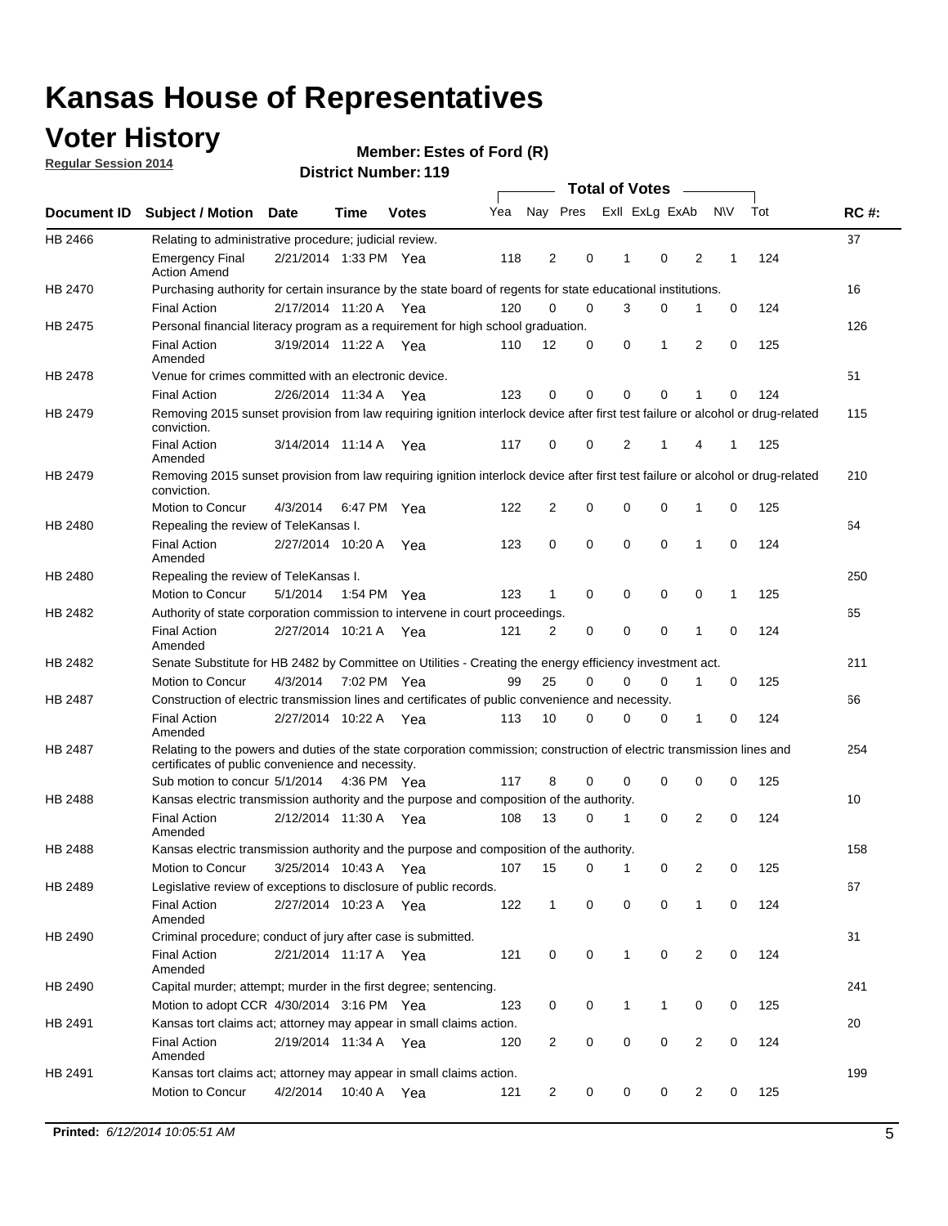### **Voter History**

**Regular Session 2014**

#### **Member: Estes of Ford (R)**

|         |                                                                                                                                                                             |                       |             |              |     | <b>Total of Votes</b> |             |                |             |   |                     |     |             |
|---------|-----------------------------------------------------------------------------------------------------------------------------------------------------------------------------|-----------------------|-------------|--------------|-----|-----------------------|-------------|----------------|-------------|---|---------------------|-----|-------------|
|         | Document ID Subject / Motion Date                                                                                                                                           |                       | Time        | <b>Votes</b> | Yea | Nay Pres              |             | Exll ExLg ExAb |             |   | <b>NV</b>           | Tot | <b>RC#:</b> |
| HB 2466 | Relating to administrative procedure; judicial review.                                                                                                                      |                       |             |              |     |                       |             |                |             |   |                     |     | 37          |
|         | <b>Emergency Final</b><br><b>Action Amend</b>                                                                                                                               | 2/21/2014 1:33 PM Yea |             |              | 118 | 2                     | 0           | 1              | $\mathbf 0$ |   | 2<br>1              | 124 |             |
| HB 2470 | Purchasing authority for certain insurance by the state board of regents for state educational institutions.                                                                |                       |             |              |     |                       |             |                |             |   |                     |     | 16          |
|         | <b>Final Action</b>                                                                                                                                                         | 2/17/2014 11:20 A Yea |             |              | 120 | 0                     | 0           | 3              | 0           | 1 | 0                   | 124 |             |
| HB 2475 | Personal financial literacy program as a requirement for high school graduation.                                                                                            |                       |             |              |     |                       |             |                |             |   |                     |     | 126         |
|         | <b>Final Action</b><br>Amended                                                                                                                                              | 3/19/2014 11:22 A Yea |             |              | 110 | 12                    | 0           | 0              | 1           |   | 2<br>0              | 125 |             |
| HB 2478 | Venue for crimes committed with an electronic device.                                                                                                                       |                       |             |              |     |                       |             |                |             |   |                     |     | 51          |
|         | <b>Final Action</b>                                                                                                                                                         | 2/26/2014 11:34 A     |             | Yea          | 123 | 0                     | 0           | 0              | $\mathbf 0$ | 1 | $\mathbf 0$         | 124 |             |
| HB 2479 | Removing 2015 sunset provision from law requiring ignition interlock device after first test failure or alcohol or drug-related<br>conviction.                              |                       |             |              |     |                       |             |                |             |   |                     |     | 115         |
|         | <b>Final Action</b><br>Amended                                                                                                                                              | 3/14/2014 11:14 A     |             | Yea          | 117 | 0                     | 0           | 2              | 1           | 4 | 1                   | 125 |             |
| HB 2479 | Removing 2015 sunset provision from law requiring ignition interlock device after first test failure or alcohol or drug-related<br>conviction.                              |                       |             |              |     |                       |             |                |             |   |                     |     | 210         |
|         | Motion to Concur                                                                                                                                                            | 4/3/2014              |             | 6:47 PM Yea  | 122 | 2                     | 0           | 0              | 0           | 1 | 0                   | 125 |             |
| HB 2480 | Repealing the review of TeleKansas I.                                                                                                                                       |                       |             |              |     |                       |             |                |             |   |                     |     | 64          |
|         | <b>Final Action</b><br>Amended                                                                                                                                              | 2/27/2014 10:20 A     |             | Yea          | 123 | 0                     | 0           | 0              | 0           | 1 | 0                   | 124 |             |
| HB 2480 | Repealing the review of TeleKansas I.                                                                                                                                       |                       |             |              |     |                       |             |                |             |   |                     |     | 250         |
|         | Motion to Concur                                                                                                                                                            | 5/1/2014              | 1:54 PM Yea |              | 123 | $\mathbf 1$           | 0           | 0              | 0           |   | 0<br>1              | 125 |             |
| HB 2482 | Authority of state corporation commission to intervene in court proceedings.                                                                                                |                       |             |              |     |                       |             |                |             |   |                     |     | 65          |
|         | <b>Final Action</b><br>Amended                                                                                                                                              | 2/27/2014 10:21 A     |             | Yea          | 121 | 2                     | 0           | $\mathbf 0$    | 0           | 1 | $\mathbf 0$         | 124 |             |
| HB 2482 | Senate Substitute for HB 2482 by Committee on Utilities - Creating the energy efficiency investment act.                                                                    |                       |             |              |     |                       |             |                |             |   |                     |     | 211         |
|         | Motion to Concur                                                                                                                                                            | 4/3/2014 7:02 PM Yea  |             |              | 99  | 25                    | 0           | 0              | 0           | 1 | 0                   | 125 |             |
| HB 2487 | Construction of electric transmission lines and certificates of public convenience and necessity.                                                                           |                       |             |              |     |                       |             |                |             |   |                     |     | 66          |
|         | <b>Final Action</b><br>Amended                                                                                                                                              | 2/27/2014 10:22 A Yea |             |              | 113 | 10                    | 0           | 0              | 0           | 1 | 0                   | 124 |             |
| HB 2487 | Relating to the powers and duties of the state corporation commission; construction of electric transmission lines and<br>certificates of public convenience and necessity. |                       |             |              |     |                       |             |                |             |   |                     |     | 254         |
|         | Sub motion to concur 5/1/2014                                                                                                                                               |                       |             | 4:36 PM Yea  | 117 | 8                     | 0           | 0              | 0           |   | 0<br>0              | 125 |             |
| HB 2488 | Kansas electric transmission authority and the purpose and composition of the authority.                                                                                    |                       |             |              |     |                       |             |                |             |   |                     |     | 10          |
|         | <b>Final Action</b><br>Amended                                                                                                                                              | 2/12/2014 11:30 A Yea |             |              | 108 | 13                    | 0           | 1              | 0           |   | 2<br>0              | 124 |             |
| HB 2488 | Kansas electric transmission authority and the purpose and composition of the authority.                                                                                    |                       |             |              |     |                       |             |                |             |   |                     |     | 158         |
|         | <b>Motion to Concur</b>                                                                                                                                                     | 3/25/2014 10:43 A     |             | Yea          | 107 | 15                    | 0           | 1              | 0           |   | 2<br>0              | 125 |             |
| HB 2489 | Legislative review of exceptions to disclosure of public records.                                                                                                           |                       |             |              |     |                       |             |                |             |   |                     |     | 67          |
|         | <b>Final Action</b><br>Amended                                                                                                                                              | 2/27/2014 10:23 A Yea |             |              | 122 | $\mathbf{1}$          | 0           | 0              | $\mathbf 0$ | 1 | 0                   | 124 |             |
| HB 2490 | Criminal procedure; conduct of jury after case is submitted.                                                                                                                |                       |             |              |     |                       |             |                |             |   |                     |     | 31          |
|         | <b>Final Action</b><br>Amended                                                                                                                                              | 2/21/2014 11:17 A Yea |             |              | 121 | 0                     | 0           | 1              | 0           |   | 2<br>0              | 124 |             |
| HB 2490 | Capital murder; attempt; murder in the first degree; sentencing.                                                                                                            |                       |             |              |     |                       |             |                |             |   |                     |     | 241         |
|         | Motion to adopt CCR 4/30/2014 3:16 PM Yea                                                                                                                                   |                       |             |              | 123 | 0                     | 0           | 1              | 1           |   | 0<br>0              | 125 |             |
| HB 2491 | Kansas tort claims act; attorney may appear in small claims action.                                                                                                         |                       |             |              |     |                       |             |                |             |   |                     |     | 20          |
|         | <b>Final Action</b><br>Amended                                                                                                                                              | 2/19/2014 11:34 A Yea |             |              | 120 | 2                     | 0           | 0              | 0           |   | $\overline{2}$<br>0 | 124 |             |
| HB 2491 | Kansas tort claims act; attorney may appear in small claims action.                                                                                                         |                       |             |              |     |                       |             |                |             |   |                     |     | 199         |
|         | Motion to Concur                                                                                                                                                            | 4/2/2014              |             | 10:40 A Yea  | 121 | 2                     | $\mathbf 0$ | 0              | 0           |   | 2<br>0              | 125 |             |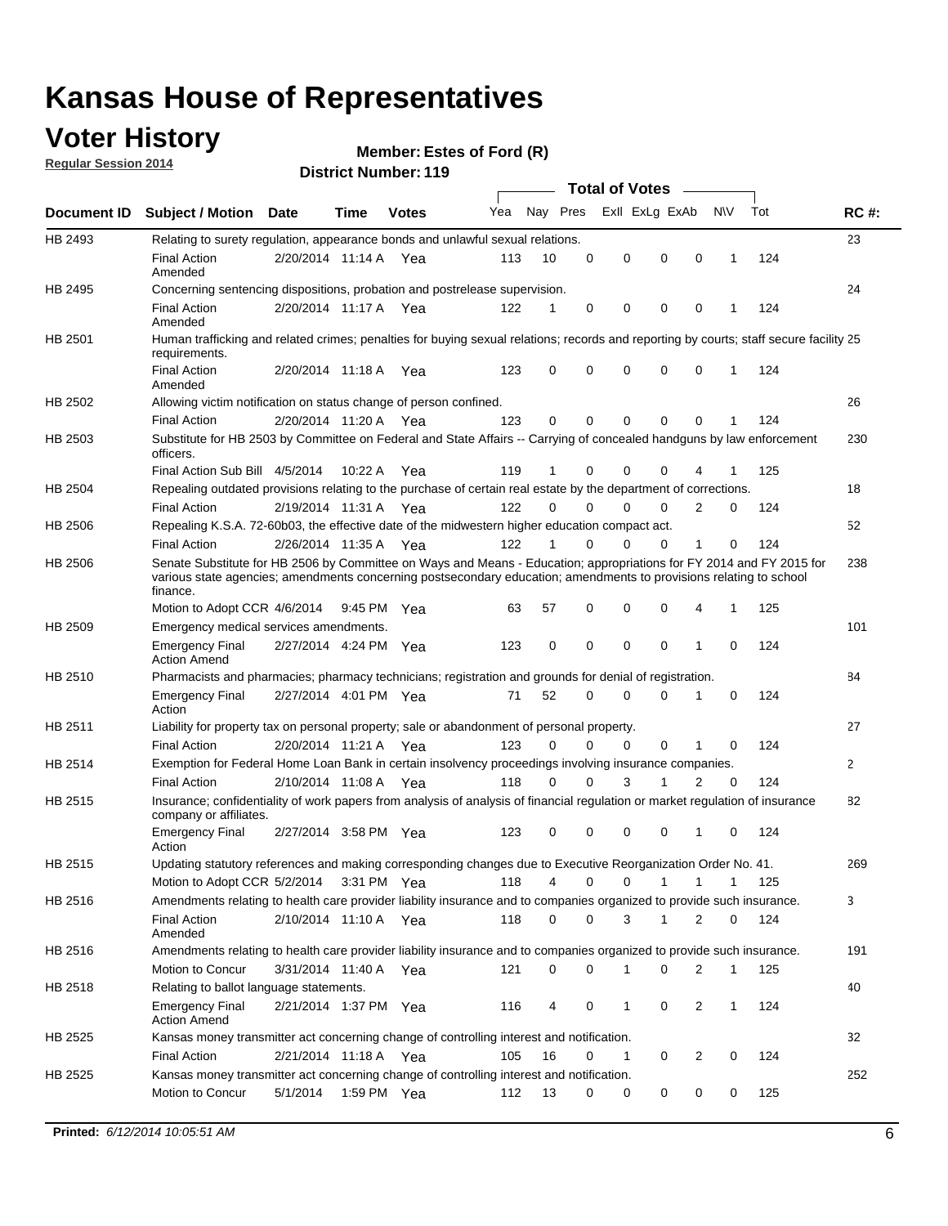### **Voter History**

**Regular Session 2014**

**Member: Estes of Ford (R)** 

|             |                                                                                                                                                                                                                                                        | JUIVLINUIIINVI.<br><b>Total of Votes</b> |             |              |     |              |             |             |                |              |           |     |             |
|-------------|--------------------------------------------------------------------------------------------------------------------------------------------------------------------------------------------------------------------------------------------------------|------------------------------------------|-------------|--------------|-----|--------------|-------------|-------------|----------------|--------------|-----------|-----|-------------|
| Document ID | <b>Subject / Motion Date</b>                                                                                                                                                                                                                           |                                          | <b>Time</b> | <b>Votes</b> | Yea | Nay Pres     |             |             | Exll ExLg ExAb |              | <b>NV</b> | Tot | <b>RC#:</b> |
| HB 2493     | Relating to surety regulation, appearance bonds and unlawful sexual relations.                                                                                                                                                                         |                                          |             |              |     |              |             |             |                |              |           |     | 23          |
|             | <b>Final Action</b><br>Amended                                                                                                                                                                                                                         | 2/20/2014 11:14 A Yea                    |             |              | 113 | 10           | $\mathbf 0$ | $\mathbf 0$ | $\mathbf 0$    | $\mathbf 0$  | 1         | 124 |             |
| HB 2495     | Concerning sentencing dispositions, probation and postrelease supervision.                                                                                                                                                                             |                                          |             |              |     |              |             |             |                |              |           |     | 24          |
|             | <b>Final Action</b><br>Amended                                                                                                                                                                                                                         | 2/20/2014 11:17 A                        |             | Yea          | 122 | 1            | 0           | $\mathbf 0$ | $\mathbf 0$    | 0            | 1         | 124 |             |
| HB 2501     | Human trafficking and related crimes; penalties for buying sexual relations; records and reporting by courts; staff secure facility 25<br>requirements.                                                                                                |                                          |             |              |     |              |             |             |                |              |           |     |             |
|             | <b>Final Action</b><br>Amended                                                                                                                                                                                                                         | 2/20/2014 11:18 A Yea                    |             |              | 123 | 0            | 0           | 0           | $\mathbf 0$    | 0            | 1         | 124 |             |
| HB 2502     | Allowing victim notification on status change of person confined.                                                                                                                                                                                      |                                          |             |              |     |              |             |             |                |              |           |     | 26          |
|             | <b>Final Action</b>                                                                                                                                                                                                                                    | 2/20/2014 11:20 A Yea                    |             |              | 123 | 0            | 0           | 0           | 0              | 0            |           | 124 |             |
| HB 2503     | Substitute for HB 2503 by Committee on Federal and State Affairs -- Carrying of concealed handguns by law enforcement<br>officers.                                                                                                                     |                                          |             |              |     |              |             |             |                |              |           |     | 230         |
|             | Final Action Sub Bill 4/5/2014                                                                                                                                                                                                                         |                                          | 10:22 A     | Yea          | 119 | 1            | 0           | 0           | $\Omega$       | 4            | 1         | 125 |             |
| HB 2504     | Repealing outdated provisions relating to the purchase of certain real estate by the department of corrections.                                                                                                                                        |                                          |             |              |     |              |             |             |                |              |           |     | 18          |
|             | <b>Final Action</b>                                                                                                                                                                                                                                    | 2/19/2014 11:31 A Yea                    |             |              | 122 | $\Omega$     | $\Omega$    | $\Omega$    | 0              | 2            | 0         | 124 |             |
| HB 2506     | Repealing K.S.A. 72-60b03, the effective date of the midwestern higher education compact act.                                                                                                                                                          |                                          |             |              |     |              |             |             |                |              |           |     | 52          |
|             | <b>Final Action</b>                                                                                                                                                                                                                                    | 2/26/2014 11:35 A Yea                    |             |              | 122 | $\mathbf{1}$ | $\Omega$    | $\Omega$    | $\mathbf 0$    | $\mathbf{1}$ | 0         | 124 |             |
| HB 2506     | Senate Substitute for HB 2506 by Committee on Ways and Means - Education; appropriations for FY 2014 and FY 2015 for<br>various state agencies; amendments concerning postsecondary education; amendments to provisions relating to school<br>finance. |                                          |             |              |     |              |             |             |                |              |           |     | 238         |
|             | Motion to Adopt CCR 4/6/2014                                                                                                                                                                                                                           |                                          | 9:45 PM     | Yea          | 63  | 57           | 0           | $\mathbf 0$ | $\mathbf 0$    | 4            | 1         | 125 |             |
| HB 2509     | Emergency medical services amendments.                                                                                                                                                                                                                 |                                          |             |              |     |              |             |             |                |              |           |     | 101         |
|             | Emergency Final<br><b>Action Amend</b>                                                                                                                                                                                                                 | 2/27/2014 4:24 PM Yea                    |             |              | 123 | $\mathbf 0$  | 0           | $\Omega$    | $\mathbf 0$    | 1            | $\Omega$  | 124 |             |
| HB 2510     | Pharmacists and pharmacies; pharmacy technicians; registration and grounds for denial of registration.                                                                                                                                                 |                                          |             |              |     |              |             |             |                |              |           |     | 84          |
|             | <b>Emergency Final</b><br>Action                                                                                                                                                                                                                       | 2/27/2014 4:01 PM Yea                    |             |              | 71  | 52           | 0           | $\Omega$    | $\Omega$       | 1            | 0         | 124 |             |
| HB 2511     | Liability for property tax on personal property; sale or abandonment of personal property.                                                                                                                                                             |                                          |             |              |     |              |             |             |                |              |           |     | 27          |
|             | <b>Final Action</b>                                                                                                                                                                                                                                    | 2/20/2014 11:21 A Yea                    |             |              | 123 | $\Omega$     | 0           | $\Omega$    | $\mathbf 0$    | 1            | $\Omega$  | 124 |             |
| HB 2514     | Exemption for Federal Home Loan Bank in certain insolvency proceedings involving insurance companies.                                                                                                                                                  |                                          |             |              |     |              |             |             |                |              |           |     | 2           |
|             | <b>Final Action</b>                                                                                                                                                                                                                                    | 2/10/2014 11:08 A Yea                    |             |              | 118 | $\Omega$     | 0           | 3           | 1              | 2            | 0         | 124 |             |
| HB 2515     | Insurance; confidentiality of work papers from analysis of analysis of financial regulation or market regulation of insurance<br>company or affiliates.                                                                                                |                                          |             |              |     |              |             |             |                |              |           |     | 82          |
|             | <b>Emergency Final</b><br>Action                                                                                                                                                                                                                       | 2/27/2014 3:58 PM Yea                    |             |              | 123 | 0            | 0           | $\mathbf 0$ | $\mathbf 0$    | 1            | $\Omega$  | 124 |             |
| HB 2515     | Updating statutory references and making corresponding changes due to Executive Reorganization Order No. 41.                                                                                                                                           |                                          |             |              |     |              |             |             |                |              |           |     | 269         |
|             | Motion to Adopt CCR 5/2/2014 3:31 PM Yea                                                                                                                                                                                                               |                                          |             |              | 118 | 4            | 0           | 0           | 1              | 1            |           | 125 |             |
| HB 2516     | Amendments relating to health care provider liability insurance and to companies organized to provide such insurance.                                                                                                                                  |                                          |             |              |     |              |             |             |                |              |           |     | 3           |
|             | <b>Final Action</b><br>Amended                                                                                                                                                                                                                         | 2/10/2014 11:10 A Yea                    |             |              | 118 | 0            | 0           | 3           |                | 2            | 0         | 124 |             |
| HB 2516     | Amendments relating to health care provider liability insurance and to companies organized to provide such insurance.                                                                                                                                  |                                          |             |              |     |              |             |             |                |              |           |     | 191         |
|             | <b>Motion to Concur</b>                                                                                                                                                                                                                                | 3/31/2014 11:40 A                        |             | Yea          | 121 | 0            | 0           | 1           | 0              | 2            | 1         | 125 |             |
| HB 2518     | Relating to ballot language statements.                                                                                                                                                                                                                |                                          |             |              |     |              |             |             |                |              |           |     | 40          |
|             | <b>Emergency Final</b><br><b>Action Amend</b>                                                                                                                                                                                                          | 2/21/2014 1:37 PM Yea                    |             |              | 116 | 4            | 0           | 1           | 0              | 2            | 1         | 124 |             |
| HB 2525     | Kansas money transmitter act concerning change of controlling interest and notification.                                                                                                                                                               |                                          |             |              |     |              |             |             |                |              |           |     | 32          |
|             | Final Action                                                                                                                                                                                                                                           | 2/21/2014 11:18 A Yea                    |             |              | 105 | 16           | 0           | 1           | 0              | 2            | 0         | 124 |             |
| HB 2525     | Kansas money transmitter act concerning change of controlling interest and notification.                                                                                                                                                               |                                          |             |              |     |              |             |             |                |              |           |     | 252         |
|             | Motion to Concur                                                                                                                                                                                                                                       | 5/1/2014                                 | 1:59 PM Yea |              | 112 | 13           | 0           | 0           | 0              | 0            | 0         | 125 |             |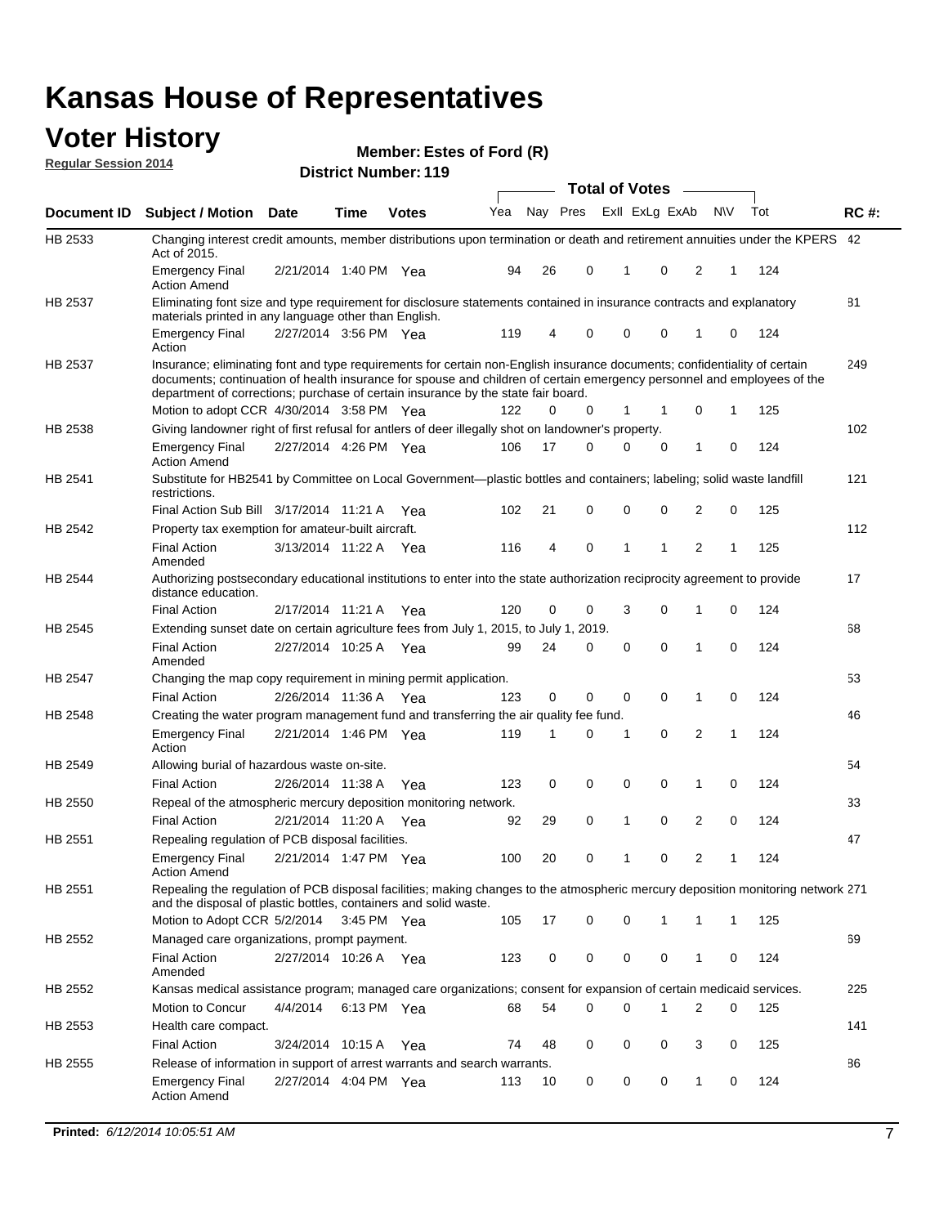#### **Voter History Regular Session 2014**

|                |                                                                                                                                                                                                                                                                                                                                           |                       |             |              |     |    |                         | <b>Total of Votes</b> |              |              |             |     |             |
|----------------|-------------------------------------------------------------------------------------------------------------------------------------------------------------------------------------------------------------------------------------------------------------------------------------------------------------------------------------------|-----------------------|-------------|--------------|-----|----|-------------------------|-----------------------|--------------|--------------|-------------|-----|-------------|
| Document ID    | <b>Subject / Motion</b>                                                                                                                                                                                                                                                                                                                   | Date                  | Time        | <b>Votes</b> | Yea |    | Nay Pres ExII ExLg ExAb |                       |              |              | <b>NV</b>   | Tot | <b>RC#:</b> |
| HB 2533        | Changing interest credit amounts, member distributions upon termination or death and retirement annuities under the KPERS 42<br>Act of 2015.                                                                                                                                                                                              |                       |             |              |     |    |                         |                       |              |              |             |     |             |
|                | <b>Emergency Final</b><br><b>Action Amend</b>                                                                                                                                                                                                                                                                                             | 2/21/2014 1:40 PM Yea |             |              | 94  | 26 | 0                       | 1                     | 0            | 2            | 1           | 124 |             |
| HB 2537        | Eliminating font size and type requirement for disclosure statements contained in insurance contracts and explanatory<br>materials printed in any language other than English.                                                                                                                                                            |                       |             |              |     |    |                         |                       |              |              |             |     | 81          |
|                | <b>Emergency Final</b><br>Action                                                                                                                                                                                                                                                                                                          | 2/27/2014 3:56 PM Yea |             |              | 119 | 4  | 0                       | $\mathbf 0$           | 0            | 1            | 0           | 124 |             |
| HB 2537        | Insurance; eliminating font and type requirements for certain non-English insurance documents; confidentiality of certain<br>documents; continuation of health insurance for spouse and children of certain emergency personnel and employees of the<br>department of corrections; purchase of certain insurance by the state fair board. |                       |             |              |     |    |                         |                       |              |              |             |     | 249         |
|                | Motion to adopt CCR 4/30/2014 3:58 PM Yea                                                                                                                                                                                                                                                                                                 |                       |             |              | 122 | 0  | 0                       | 1                     | 1            | 0            | 1           | 125 |             |
| HB 2538        | Giving landowner right of first refusal for antlers of deer illegally shot on landowner's property.                                                                                                                                                                                                                                       |                       |             |              |     |    |                         |                       |              |              |             |     | 102         |
|                | <b>Emergency Final</b><br><b>Action Amend</b>                                                                                                                                                                                                                                                                                             | 2/27/2014 4:26 PM Yea |             |              | 106 | 17 | 0                       | 0                     | 0            | 1            | 0           | 124 |             |
| HB 2541        | Substitute for HB2541 by Committee on Local Government—plastic bottles and containers; labeling; solid waste landfill<br>restrictions.                                                                                                                                                                                                    |                       |             |              |     |    |                         |                       |              |              |             |     | 121         |
|                | Final Action Sub Bill 3/17/2014 11:21 A Yea                                                                                                                                                                                                                                                                                               |                       |             |              | 102 | 21 | 0                       | $\mathbf 0$           | 0            | 2            | 0           | 125 |             |
| HB 2542        | Property tax exemption for amateur-built aircraft.<br><b>Final Action</b>                                                                                                                                                                                                                                                                 | 3/13/2014 11:22 A Yea |             |              | 116 | 4  | 0                       | 1                     | $\mathbf 1$  | 2            | 1           | 125 | 112         |
| HB 2544        | Amended<br>Authorizing postsecondary educational institutions to enter into the state authorization reciprocity agreement to provide                                                                                                                                                                                                      |                       |             |              |     |    |                         |                       |              |              |             |     | 17          |
|                | distance education.<br><b>Final Action</b>                                                                                                                                                                                                                                                                                                | 2/17/2014 11:21 A Yea |             |              | 120 | 0  | $\mathbf 0$             | 3                     | 0            | 1            | 0           | 124 |             |
| HB 2545        | Extending sunset date on certain agriculture fees from July 1, 2015, to July 1, 2019.                                                                                                                                                                                                                                                     |                       |             |              |     |    |                         |                       |              |              |             |     | 68          |
|                | <b>Final Action</b><br>Amended                                                                                                                                                                                                                                                                                                            | 2/27/2014 10:25 A Yea |             |              | 99  | 24 | $\mathbf 0$             | $\mathbf 0$           | $\mathbf 0$  | 1            | $\Omega$    | 124 |             |
| <b>HB 2547</b> | Changing the map copy requirement in mining permit application.                                                                                                                                                                                                                                                                           |                       |             |              |     |    |                         |                       |              |              |             |     | 53          |
|                | <b>Final Action</b>                                                                                                                                                                                                                                                                                                                       | 2/26/2014 11:36 A     |             | Yea          | 123 | 0  | 0                       | 0                     | 0            | 1            | 0           | 124 |             |
| HB 2548        | Creating the water program management fund and transferring the air quality fee fund.                                                                                                                                                                                                                                                     |                       |             |              |     |    |                         |                       |              |              |             |     | 46          |
|                | <b>Emergency Final</b><br>Action                                                                                                                                                                                                                                                                                                          | 2/21/2014 1:46 PM Yea |             |              | 119 | 1  | 0                       | 1                     | 0            | 2            | 1           | 124 |             |
| HB 2549        | Allowing burial of hazardous waste on-site.                                                                                                                                                                                                                                                                                               |                       |             |              |     |    |                         |                       |              |              |             |     | 54          |
|                | <b>Final Action</b>                                                                                                                                                                                                                                                                                                                       | 2/26/2014 11:38 A     |             | Yea          | 123 | 0  | 0                       | 0                     | 0            | 1            | 0           | 124 |             |
| HB 2550        | Repeal of the atmospheric mercury deposition monitoring network.                                                                                                                                                                                                                                                                          |                       |             |              |     |    |                         |                       |              |              |             |     | 33          |
|                | <b>Final Action</b>                                                                                                                                                                                                                                                                                                                       | 2/21/2014 11:20 A     |             | Yea          | 92  | 29 | 0                       | $\mathbf{1}$          | $\mathbf 0$  | 2            | 0           | 124 |             |
| HB 2551        | Repealing regulation of PCB disposal facilities.                                                                                                                                                                                                                                                                                          |                       |             |              |     |    |                         |                       |              |              |             |     | 47          |
|                | <b>Emergency Final</b><br><b>Action Amend</b>                                                                                                                                                                                                                                                                                             | 2/21/2014 1:47 PM Yea |             |              | 100 | 20 | 0                       | 1                     | 0            | 2            | 1           | 124 |             |
| HB 2551        | Repealing the regulation of PCB disposal facilities; making changes to the atmospheric mercury deposition monitoring network 271<br>and the disposal of plastic bottles, containers and solid waste.                                                                                                                                      |                       |             |              |     |    |                         |                       |              |              |             |     |             |
|                | Motion to Adopt CCR 5/2/2014                                                                                                                                                                                                                                                                                                              |                       | 3:45 PM Yea |              | 105 | 17 | 0                       | 0                     | $\mathbf{1}$ | 1            | $\mathbf 1$ | 125 |             |
| HB 2552        | Managed care organizations, prompt payment.                                                                                                                                                                                                                                                                                               |                       |             |              |     |    |                         |                       |              |              |             |     | 69          |
|                | <b>Final Action</b><br>Amended                                                                                                                                                                                                                                                                                                            | 2/27/2014 10:26 A Yea |             |              | 123 | 0  | 0                       | 0                     | 0            | 1            | 0           | 124 |             |
| HB 2552        | Kansas medical assistance program; managed care organizations; consent for expansion of certain medicaid services.                                                                                                                                                                                                                        |                       |             |              |     |    |                         |                       |              |              |             |     | 225         |
|                | Motion to Concur                                                                                                                                                                                                                                                                                                                          | 4/4/2014              | 6:13 PM Yea |              | 68  | 54 | 0                       | 0                     | 1            | 2            | 0           | 125 |             |
| HB 2553        | Health care compact.                                                                                                                                                                                                                                                                                                                      |                       |             |              |     |    |                         |                       |              |              |             |     | 141         |
|                | <b>Final Action</b>                                                                                                                                                                                                                                                                                                                       | 3/24/2014 10:15 A     |             | Yea          | 74  | 48 | 0                       | 0                     | 0            | 3            | 0           | 125 |             |
| HB 2555        | Release of information in support of arrest warrants and search warrants.                                                                                                                                                                                                                                                                 |                       |             |              |     |    |                         |                       |              |              |             |     | 86          |
|                | <b>Emergency Final</b><br><b>Action Amend</b>                                                                                                                                                                                                                                                                                             | 2/27/2014 4:04 PM Yea |             |              | 113 | 10 | 0                       | 0                     | 0            | $\mathbf{1}$ | 0           | 124 |             |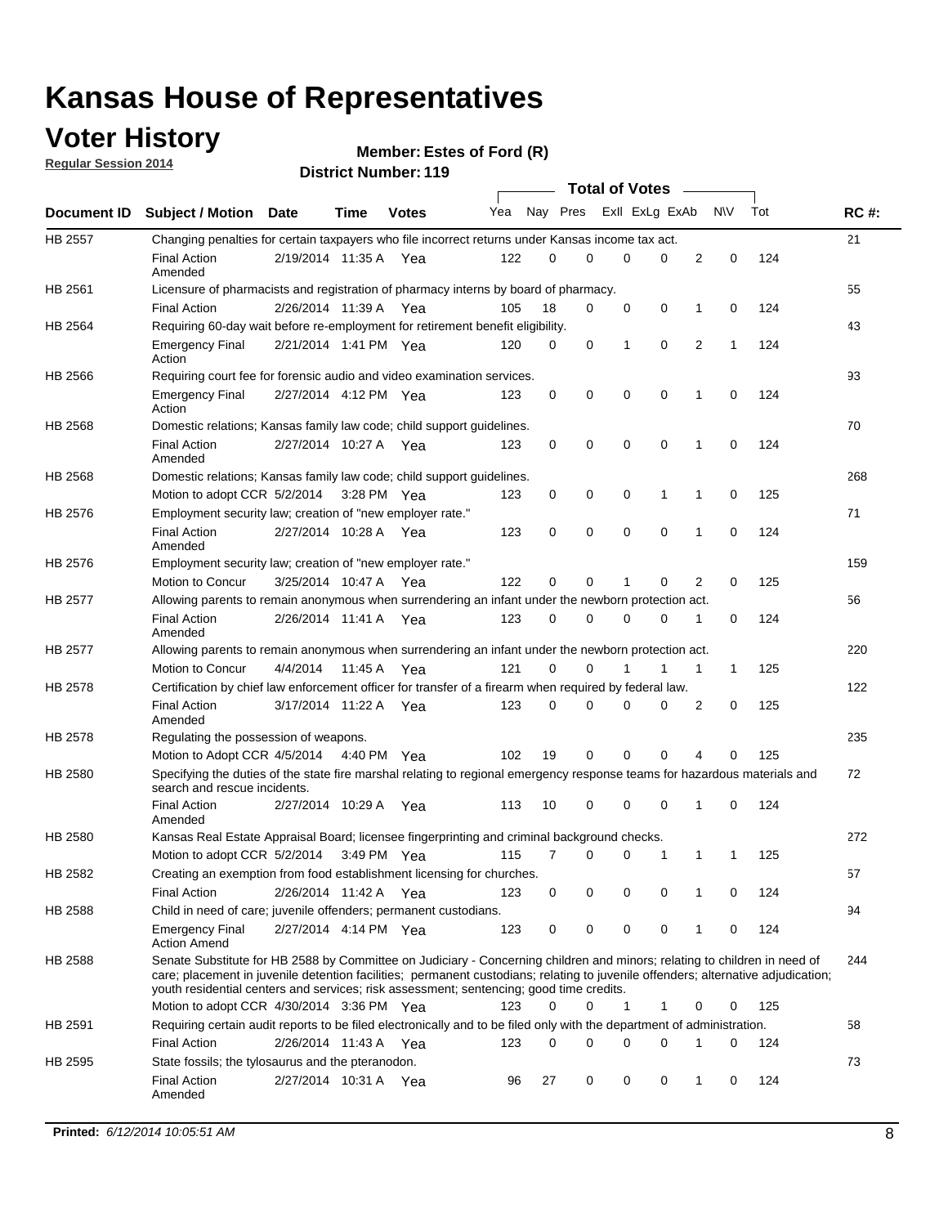### **Voter History**

**Regular Session 2014**

| <b>District Number: 119</b> |
|-----------------------------|
|-----------------------------|

|             |                                                                                                                                                                                                                                                                                                                                                           |                       | ul Ituliinui . |              |     |          |             | <b>Total of Votes</b> |             |                |              |     |             |
|-------------|-----------------------------------------------------------------------------------------------------------------------------------------------------------------------------------------------------------------------------------------------------------------------------------------------------------------------------------------------------------|-----------------------|----------------|--------------|-----|----------|-------------|-----------------------|-------------|----------------|--------------|-----|-------------|
| Document ID | <b>Subject / Motion Date</b>                                                                                                                                                                                                                                                                                                                              |                       | <b>Time</b>    | <b>Votes</b> | Yea | Nay Pres |             | ExII ExLg ExAb        |             |                | <b>NV</b>    | Tot | <b>RC#:</b> |
| HB 2557     | Changing penalties for certain taxpayers who file incorrect returns under Kansas income tax act.                                                                                                                                                                                                                                                          |                       |                |              |     |          |             |                       |             |                |              |     | 21          |
|             | <b>Final Action</b><br>Amended                                                                                                                                                                                                                                                                                                                            | 2/19/2014 11:35 A Yea |                |              | 122 | $\Omega$ | $\Omega$    | $\mathbf 0$           | 0           | $\overline{2}$ | 0            | 124 |             |
| HB 2561     | Licensure of pharmacists and registration of pharmacy interns by board of pharmacy.                                                                                                                                                                                                                                                                       |                       |                |              |     |          |             |                       |             |                |              |     | 55          |
|             | <b>Final Action</b>                                                                                                                                                                                                                                                                                                                                       | 2/26/2014 11:39 A     |                | Yea          | 105 | 18       | 0           | 0                     | 0           | 1              | 0            | 124 |             |
| HB 2564     | Requiring 60-day wait before re-employment for retirement benefit eligibility.                                                                                                                                                                                                                                                                            |                       |                |              |     |          |             |                       |             |                |              |     | 43          |
|             | <b>Emergency Final</b><br>Action                                                                                                                                                                                                                                                                                                                          | 2/21/2014 1:41 PM Yea |                |              | 120 | 0        | 0           | 1                     | $\mathbf 0$ | $\overline{2}$ | 1            | 124 |             |
| HB 2566     | Requiring court fee for forensic audio and video examination services.                                                                                                                                                                                                                                                                                    |                       |                |              |     |          |             |                       |             |                |              |     | 93          |
|             | <b>Emergency Final</b><br>Action                                                                                                                                                                                                                                                                                                                          | 2/27/2014 4:12 PM Yea |                |              | 123 | 0        | 0           | $\mathbf 0$           | $\mathbf 0$ | 1              | 0            | 124 |             |
| HB 2568     | Domestic relations; Kansas family law code; child support guidelines.                                                                                                                                                                                                                                                                                     |                       |                |              |     |          |             |                       |             |                |              |     | 70          |
|             | <b>Final Action</b><br>Amended                                                                                                                                                                                                                                                                                                                            | 2/27/2014 10:27 A Yea |                |              | 123 | 0        | $\mathbf 0$ | $\mathbf 0$           | $\mathbf 0$ | 1              | 0            | 124 |             |
| HB 2568     | Domestic relations; Kansas family law code; child support guidelines.                                                                                                                                                                                                                                                                                     |                       |                |              |     |          |             |                       |             |                |              |     | 268         |
|             | Motion to adopt CCR 5/2/2014                                                                                                                                                                                                                                                                                                                              |                       | $3:28$ PM Yea  |              | 123 | 0        | 0           | 0                     | 1           | 1              | 0            | 125 |             |
| HB 2576     | Employment security law; creation of "new employer rate."                                                                                                                                                                                                                                                                                                 |                       |                |              |     |          |             |                       |             |                |              |     | 71          |
|             | <b>Final Action</b><br>Amended                                                                                                                                                                                                                                                                                                                            | 2/27/2014 10:28 A Yea |                |              | 123 | 0        | 0           | $\mathbf 0$           | $\mathbf 0$ | $\mathbf{1}$   | 0            | 124 |             |
| HB 2576     | Employment security law; creation of "new employer rate."                                                                                                                                                                                                                                                                                                 |                       |                |              |     |          |             |                       |             |                |              |     | 159         |
|             | Motion to Concur                                                                                                                                                                                                                                                                                                                                          | 3/25/2014 10:47 A     |                | Yea          | 122 | 0        | 0           | 1                     | 0           | $\overline{2}$ | 0            | 125 |             |
| HB 2577     | Allowing parents to remain anonymous when surrendering an infant under the newborn protection act.                                                                                                                                                                                                                                                        |                       |                |              |     |          |             |                       |             |                |              |     | 56          |
|             | <b>Final Action</b><br>Amended                                                                                                                                                                                                                                                                                                                            | 2/26/2014 11:41 A Yea |                |              | 123 | 0        | 0           | 0                     | 0           | 1              | 0            | 124 |             |
| HB 2577     | Allowing parents to remain anonymous when surrendering an infant under the newborn protection act.                                                                                                                                                                                                                                                        |                       |                |              |     |          |             |                       |             |                |              |     | 220         |
|             | Motion to Concur                                                                                                                                                                                                                                                                                                                                          | 4/4/2014              | 11:45 A        | Yea          | 121 | $\Omega$ | 0           |                       |             | 1              | $\mathbf{1}$ | 125 |             |
| HB 2578     | Certification by chief law enforcement officer for transfer of a firearm when required by federal law.                                                                                                                                                                                                                                                    |                       |                |              |     |          |             |                       |             |                |              |     | 122         |
|             | <b>Final Action</b><br>Amended                                                                                                                                                                                                                                                                                                                            | 3/17/2014 11:22 A Yea |                |              | 123 | 0        | 0           | 0                     | 0           | 2              | 0            | 125 |             |
| HB 2578     | Regulating the possession of weapons.                                                                                                                                                                                                                                                                                                                     |                       |                |              |     |          |             |                       |             |                |              |     | 235         |
|             | Motion to Adopt CCR 4/5/2014 4:40 PM Yea                                                                                                                                                                                                                                                                                                                  |                       |                |              | 102 | 19       | 0           | 0                     | 0           | 4              | 0            | 125 |             |
| HB 2580     | Specifying the duties of the state fire marshal relating to regional emergency response teams for hazardous materials and<br>search and rescue incidents.                                                                                                                                                                                                 |                       |                |              |     |          |             |                       |             |                |              |     | 72          |
|             | <b>Final Action</b><br>Amended                                                                                                                                                                                                                                                                                                                            | 2/27/2014 10:29 A     |                | Yea          | 113 | 10       | 0           | $\mathbf 0$           | $\mathbf 0$ | 1              | 0            | 124 |             |
| HB 2580     | Kansas Real Estate Appraisal Board; licensee fingerprinting and criminal background checks.                                                                                                                                                                                                                                                               |                       |                |              |     |          |             |                       |             |                |              |     | 272         |
|             | Motion to adopt CCR 5/2/2014                                                                                                                                                                                                                                                                                                                              |                       | 3:49 PM Yea    |              | 115 | 7        | 0           | 0                     | 1           | 1              | -1           | 125 |             |
| HB 2582     | Creating an exemption from food establishment licensing for churches.                                                                                                                                                                                                                                                                                     |                       |                |              |     |          |             |                       |             |                |              |     | 57          |
|             | <b>Final Action</b>                                                                                                                                                                                                                                                                                                                                       | 2/26/2014 11:42 A     |                | Yea          | 123 | 0        | 0           | 0                     | 0           | 1              | 0            | 124 |             |
| HB 2588     | Child in need of care; juvenile offenders; permanent custodians.                                                                                                                                                                                                                                                                                          |                       |                |              |     |          |             |                       |             |                |              |     | 94          |
|             | <b>Emergency Final</b><br><b>Action Amend</b>                                                                                                                                                                                                                                                                                                             | 2/27/2014 4:14 PM Yea |                |              | 123 | 0        | 0           | 0                     | 0           | 1              | 0            | 124 |             |
| HB 2588     | Senate Substitute for HB 2588 by Committee on Judiciary - Concerning children and minors; relating to children in need of<br>care; placement in juvenile detention facilities; permanent custodians; relating to juvenile offenders; alternative adjudication;<br>youth residential centers and services; risk assessment; sentencing; good time credits. |                       |                |              |     |          |             |                       |             |                |              |     | 244         |
|             | Motion to adopt CCR 4/30/2014 3:36 PM Yea                                                                                                                                                                                                                                                                                                                 |                       |                |              | 123 | 0        | 0           | 1                     | 1           | 0              | 0            | 125 |             |
| HB 2591     | Requiring certain audit reports to be filed electronically and to be filed only with the department of administration.                                                                                                                                                                                                                                    |                       |                |              |     |          |             |                       |             |                |              |     | 58          |
|             | <b>Final Action</b>                                                                                                                                                                                                                                                                                                                                       | 2/26/2014 11:43 A     |                | Yea          | 123 | 0        | 0           | 0                     | 0           | 1              | 0            | 124 |             |
| HB 2595     | State fossils; the tylosaurus and the pteranodon.                                                                                                                                                                                                                                                                                                         |                       |                |              |     |          |             |                       |             |                |              |     | 73          |
|             | <b>Final Action</b><br>Amended                                                                                                                                                                                                                                                                                                                            | 2/27/2014 10:31 A     |                | Yea          | 96  | 27       | 0           | 0                     | 0           | 1              | 0            | 124 |             |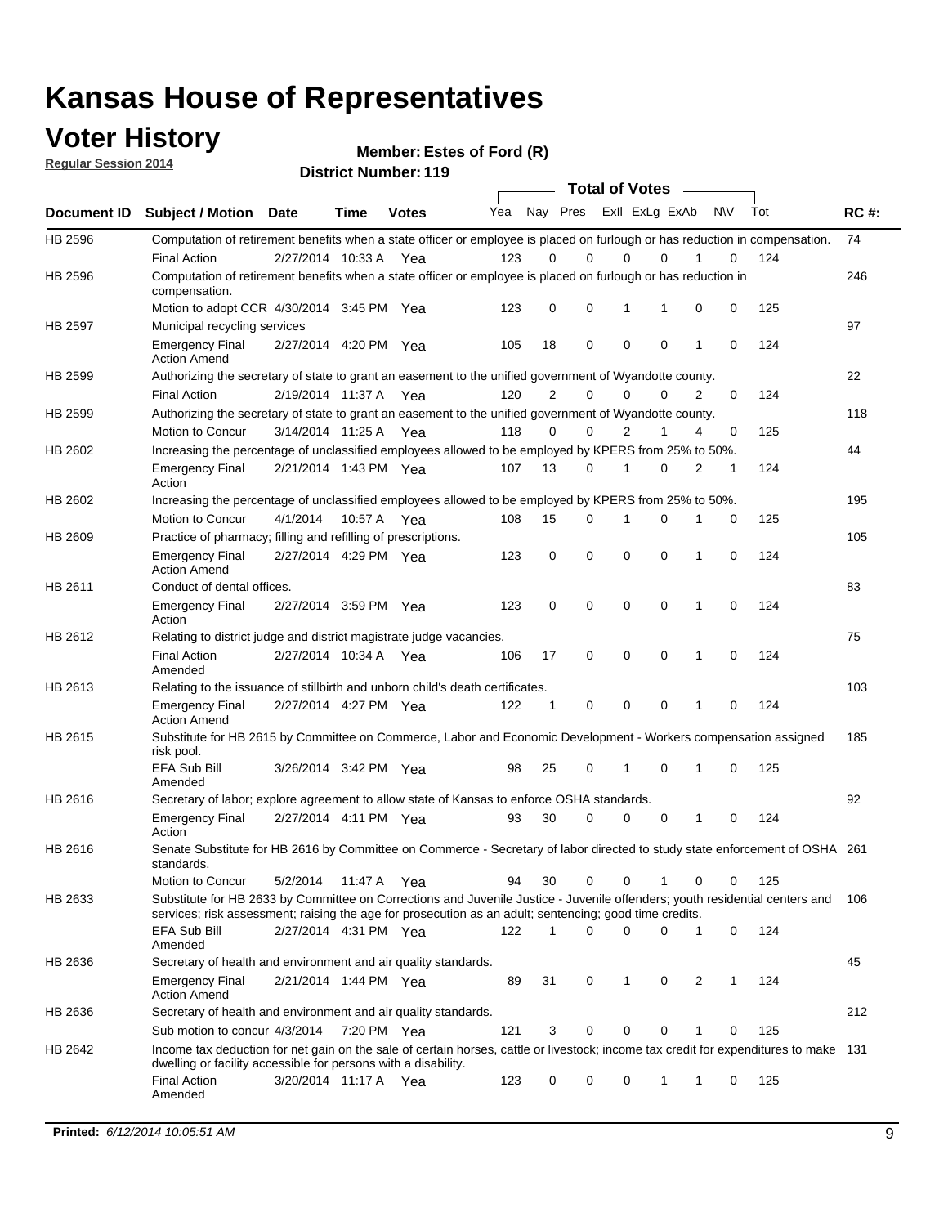### **Voter History**

**Regular Session 2014**

|             |                                                                                                                                                                                                                                       |                       |             |              |     |             | <b>Total of Votes</b>   |             |             |   |             |     |             |
|-------------|---------------------------------------------------------------------------------------------------------------------------------------------------------------------------------------------------------------------------------------|-----------------------|-------------|--------------|-----|-------------|-------------------------|-------------|-------------|---|-------------|-----|-------------|
| Document ID | <b>Subject / Motion</b>                                                                                                                                                                                                               | <b>Date</b>           | <b>Time</b> | <b>Votes</b> | Yea |             | Nay Pres Exll ExLg ExAb |             |             |   | <b>NV</b>   | Tot | <b>RC#:</b> |
| HB 2596     | Computation of retirement benefits when a state officer or employee is placed on furlough or has reduction in compensation.<br><b>Final Action</b>                                                                                    | 2/27/2014 10:33 A     |             | Yea          | 123 | 0           | 0                       | 0           | $\Omega$    |   | 0           | 124 | 74          |
| HB 2596     | Computation of retirement benefits when a state officer or employee is placed on furlough or has reduction in<br>compensation.                                                                                                        |                       |             |              |     |             |                         |             |             |   |             |     | 246         |
|             | Motion to adopt CCR 4/30/2014 3:45 PM Yea                                                                                                                                                                                             |                       |             |              | 123 | 0           | 0                       | 1           | 1           | 0 | 0           | 125 |             |
| HB 2597     | Municipal recycling services                                                                                                                                                                                                          |                       |             |              |     |             |                         |             |             |   |             |     | 97          |
|             | <b>Emergency Final</b><br><b>Action Amend</b>                                                                                                                                                                                         | 2/27/2014 4:20 PM Yea |             |              | 105 | 18          | 0                       | $\mathbf 0$ | 0           | 1 | 0           | 124 |             |
| HB 2599     | Authorizing the secretary of state to grant an easement to the unified government of Wyandotte county.                                                                                                                                |                       |             |              |     |             |                         |             |             |   |             |     | 22          |
|             | <b>Final Action</b>                                                                                                                                                                                                                   | 2/19/2014 11:37 A     |             | Yea          | 120 | 2           | 0                       | 0           | $\mathbf 0$ | 2 | 0           | 124 |             |
| HB 2599     | Authorizing the secretary of state to grant an easement to the unified government of Wyandotte county.                                                                                                                                |                       |             |              |     |             |                         |             |             |   |             |     | 118         |
|             | Motion to Concur                                                                                                                                                                                                                      | 3/14/2014 11:25 A     |             | Yea          | 118 | 0           | 0                       | 2           | 1           | 4 | 0           | 125 |             |
| HB 2602     | Increasing the percentage of unclassified employees allowed to be employed by KPERS from 25% to 50%.                                                                                                                                  |                       |             |              |     |             |                         |             |             |   |             |     | 44          |
|             | <b>Emergency Final</b><br>Action                                                                                                                                                                                                      | 2/21/2014 1:43 PM Yea |             |              | 107 | 13          | 0                       | 1           | 0           | 2 | 1           | 124 |             |
| HB 2602     | Increasing the percentage of unclassified employees allowed to be employed by KPERS from 25% to 50%.                                                                                                                                  |                       |             |              |     |             |                         |             |             |   |             |     | 195         |
|             | Motion to Concur                                                                                                                                                                                                                      | 4/1/2014              | 10:57 A     | Yea          | 108 | 15          | 0                       | 1           | $\Omega$    | 1 | 0           | 125 |             |
| HB 2609     | Practice of pharmacy; filling and refilling of prescriptions.                                                                                                                                                                         |                       |             |              |     |             |                         |             |             |   |             |     | 105         |
|             | <b>Emergency Final</b><br><b>Action Amend</b>                                                                                                                                                                                         | 2/27/2014 4:29 PM Yea |             |              | 123 | 0           | $\mathbf 0$             | $\mathbf 0$ | 0           | 1 | $\mathbf 0$ | 124 |             |
| HB 2611     | Conduct of dental offices.                                                                                                                                                                                                            |                       |             |              |     |             |                         |             |             |   |             |     | 83          |
|             | <b>Emergency Final</b><br>Action                                                                                                                                                                                                      | 2/27/2014 3:59 PM Yea |             |              | 123 | 0           | 0                       | $\mathbf 0$ | 0           | 1 | 0           | 124 |             |
| HB 2612     | Relating to district judge and district magistrate judge vacancies.                                                                                                                                                                   |                       |             |              |     |             |                         |             |             |   |             |     | 75          |
|             | <b>Final Action</b><br>Amended                                                                                                                                                                                                        | 2/27/2014 10:34 A     |             | Yea          | 106 | 17          | $\mathbf 0$             | $\mathbf 0$ | $\mathbf 0$ | 1 | $\mathbf 0$ | 124 |             |
| HB 2613     | Relating to the issuance of stillbirth and unborn child's death certificates.                                                                                                                                                         |                       |             |              |     |             |                         |             |             |   |             |     | 103         |
|             | <b>Emergency Final</b><br><b>Action Amend</b>                                                                                                                                                                                         | 2/27/2014 4:27 PM Yea |             |              | 122 | $\mathbf 1$ | 0                       | $\mathbf 0$ | 0           | 1 | 0           | 124 |             |
| HB 2615     | Substitute for HB 2615 by Committee on Commerce, Labor and Economic Development - Workers compensation assigned<br>risk pool.                                                                                                         |                       |             |              |     |             |                         |             |             |   |             |     | 185         |
|             | <b>EFA Sub Bill</b><br>Amended                                                                                                                                                                                                        | 3/26/2014 3:42 PM Yea |             |              | 98  | 25          | 0                       | 1           | 0           | 1 | 0           | 125 |             |
| HB 2616     | Secretary of labor; explore agreement to allow state of Kansas to enforce OSHA standards.                                                                                                                                             |                       |             |              |     |             |                         |             |             |   |             |     | 92          |
|             | <b>Emergency Final</b><br>Action                                                                                                                                                                                                      | 2/27/2014 4:11 PM Yea |             |              | 93  | 30          | 0                       | 0           | 0           | 1 | 0           | 124 |             |
| HB 2616     | Senate Substitute for HB 2616 by Committee on Commerce - Secretary of labor directed to study state enforcement of OSHA 261<br>standards.                                                                                             |                       |             |              |     |             |                         |             |             |   |             |     |             |
|             | Motion to Concur                                                                                                                                                                                                                      | 5/2/2014 11:47 A      |             | Yea          | 94  | 30          | $\mathbf 0$             | $\mathbf 0$ | 1           | 0 | 0           | 125 |             |
| HB 2633     | Substitute for HB 2633 by Committee on Corrections and Juvenile Justice - Juvenile offenders; youth residential centers and<br>services; risk assessment; raising the age for prosecution as an adult; sentencing; good time credits. |                       |             |              |     |             |                         |             |             |   |             |     | 106         |
|             | <b>EFA Sub Bill</b><br>Amended                                                                                                                                                                                                        | 2/27/2014 4:31 PM Yea |             |              | 122 | $\mathbf 1$ | 0                       | 0           | 0           | 1 | 0           | 124 |             |
| HB 2636     | Secretary of health and environment and air quality standards.                                                                                                                                                                        |                       |             |              |     |             |                         |             |             |   |             |     | 45          |
|             | <b>Emergency Final</b><br><b>Action Amend</b>                                                                                                                                                                                         | 2/21/2014 1:44 PM Yea |             |              | 89  | 31          | 0                       | 1           | 0           | 2 | 1           | 124 |             |
| HB 2636     | Secretary of health and environment and air quality standards.                                                                                                                                                                        |                       |             |              |     |             |                         |             |             |   |             |     | 212         |
|             | Sub motion to concur 4/3/2014                                                                                                                                                                                                         |                       | 7:20 PM Yea |              | 121 | 3           | 0                       | 0           | 0           |   | 0           | 125 |             |
| HB 2642     | Income tax deduction for net gain on the sale of certain horses, cattle or livestock; income tax credit for expenditures to make 131<br>dwelling or facility accessible for persons with a disability.                                |                       |             |              |     |             |                         |             |             |   |             |     |             |
|             | <b>Final Action</b><br>Amended                                                                                                                                                                                                        | 3/20/2014 11:17 A Yea |             |              | 123 | 0           | 0                       | 0           | 1           | 1 | 0           | 125 |             |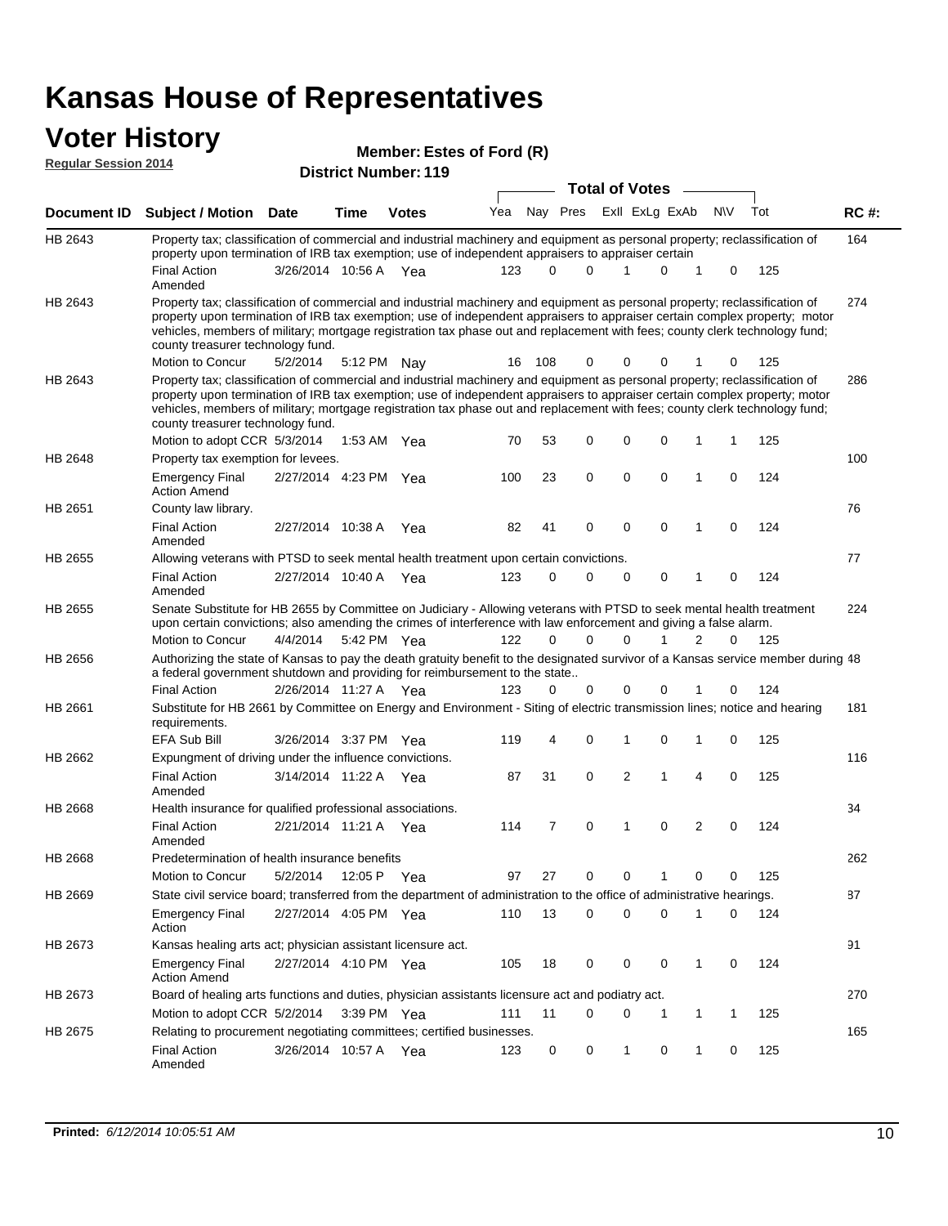#### **Voter History Regular Session 2014**

|  | MCHINGI. LSLCS VI I V       |  |  |
|--|-----------------------------|--|--|
|  | <b>District Number: 119</b> |  |  |

|                |                                                                                                                                                                                                                                                                                                                                                                                                                                                               |                       | JU IVL I TUI IIIVVI . |              | <b>Total of Votes</b> |     |                         |             |   |                |             |     |             |
|----------------|---------------------------------------------------------------------------------------------------------------------------------------------------------------------------------------------------------------------------------------------------------------------------------------------------------------------------------------------------------------------------------------------------------------------------------------------------------------|-----------------------|-----------------------|--------------|-----------------------|-----|-------------------------|-------------|---|----------------|-------------|-----|-------------|
| Document ID    | <b>Subject / Motion Date</b>                                                                                                                                                                                                                                                                                                                                                                                                                                  |                       | <b>Time</b>           | <b>Votes</b> | Yea                   |     | Nay Pres Exll ExLg ExAb |             |   |                | N\V         | Tot | <b>RC#:</b> |
| HB 2643        | Property tax; classification of commercial and industrial machinery and equipment as personal property; reclassification of<br>property upon termination of IRB tax exemption; use of independent appraisers to appraiser certain                                                                                                                                                                                                                             |                       |                       |              |                       |     |                         |             |   |                |             |     | 164         |
|                | <b>Final Action</b><br>Amended                                                                                                                                                                                                                                                                                                                                                                                                                                | 3/26/2014 10:56 A     |                       | - Yea        | 123                   | 0   | 0                       | 1           | 0 | 1              | 0           | 125 |             |
| HB 2643        | Property tax; classification of commercial and industrial machinery and equipment as personal property; reclassification of<br>property upon termination of IRB tax exemption; use of independent appraisers to appraiser certain complex property; motor<br>vehicles, members of military; mortgage registration tax phase out and replacement with fees; county clerk technology fund;<br>county treasurer technology fund.                                 |                       |                       |              |                       |     |                         |             |   |                |             |     | 274         |
|                | Motion to Concur                                                                                                                                                                                                                                                                                                                                                                                                                                              | 5/2/2014              |                       | 5:12 PM Nay  | 16                    | 108 | 0                       | 0           | 0 |                | 0           | 125 |             |
| HB 2643        | Property tax; classification of commercial and industrial machinery and equipment as personal property; reclassification of<br>property upon termination of IRB tax exemption; use of independent appraisers to appraiser certain complex property; motor<br>vehicles, members of military; mortgage registration tax phase out and replacement with fees; county clerk technology fund;<br>county treasurer technology fund.<br>Motion to adopt CCR 5/3/2014 |                       |                       | 1:53 AM Yea  |                       | 53  | 0                       | 0           | 0 | 1              | 1           | 125 | 286         |
| HB 2648        |                                                                                                                                                                                                                                                                                                                                                                                                                                                               |                       |                       |              | 70                    |     |                         |             |   |                |             |     | 100         |
|                | Property tax exemption for levees.<br><b>Emergency Final</b><br><b>Action Amend</b>                                                                                                                                                                                                                                                                                                                                                                           | 2/27/2014 4:23 PM Yea |                       |              | 100                   | 23  | $\mathbf 0$             | $\mathbf 0$ | 0 | 1              | 0           | 124 |             |
| HB 2651        | County law library.                                                                                                                                                                                                                                                                                                                                                                                                                                           |                       |                       |              |                       |     |                         |             |   |                |             |     | 76          |
|                | <b>Final Action</b><br>Amended                                                                                                                                                                                                                                                                                                                                                                                                                                | 2/27/2014 10:38 A     |                       | Yea          | 82                    | 41  | 0                       | $\mathbf 0$ | 0 | 1              | 0           | 124 |             |
| <b>HB 2655</b> | Allowing veterans with PTSD to seek mental health treatment upon certain convictions.                                                                                                                                                                                                                                                                                                                                                                         |                       |                       |              |                       |     |                         |             |   |                |             |     | 77          |
|                | <b>Final Action</b><br>Amended                                                                                                                                                                                                                                                                                                                                                                                                                                | 2/27/2014 10:40 A     |                       | Yea          | 123                   | 0   | 0                       | $\mathbf 0$ | 0 | 1              | 0           | 124 |             |
| HB 2655        | Senate Substitute for HB 2655 by Committee on Judiciary - Allowing veterans with PTSD to seek mental health treatment<br>upon certain convictions; also amending the crimes of interference with law enforcement and giving a false alarm.                                                                                                                                                                                                                    |                       |                       |              |                       |     |                         |             |   |                |             |     | 224         |
|                | Motion to Concur                                                                                                                                                                                                                                                                                                                                                                                                                                              | 4/4/2014              |                       | 5:42 PM Yea  | 122                   | 0   | $\Omega$                | $\Omega$    |   | 2              | 0           | 125 |             |
| HB 2656        | Authorizing the state of Kansas to pay the death gratuity benefit to the designated survivor of a Kansas service member during 48<br>a federal government shutdown and providing for reimbursement to the state                                                                                                                                                                                                                                               |                       |                       |              |                       |     |                         |             |   |                |             |     |             |
|                | <b>Final Action</b>                                                                                                                                                                                                                                                                                                                                                                                                                                           | 2/26/2014 11:27 A Yea |                       |              | 123                   | 0   | 0                       | 0           | 0 |                | 0           | 124 |             |
| HB 2661        | Substitute for HB 2661 by Committee on Energy and Environment - Siting of electric transmission lines; notice and hearing<br>requirements.                                                                                                                                                                                                                                                                                                                    |                       |                       |              |                       |     | 0                       | 1           | 0 | 1              | 0           |     | 181         |
|                | EFA Sub Bill                                                                                                                                                                                                                                                                                                                                                                                                                                                  | 3/26/2014 3:37 PM Yea |                       |              | 119                   | 4   |                         |             |   |                |             | 125 |             |
| HB 2662        | Expungment of driving under the influence convictions.<br><b>Final Action</b><br>Amended                                                                                                                                                                                                                                                                                                                                                                      | 3/14/2014 11:22 A Yea |                       |              | 87                    | 31  | 0                       | 2           | 1 | 4              | $\mathbf 0$ | 125 | 116         |
| <b>HB 2668</b> | Health insurance for qualified professional associations.                                                                                                                                                                                                                                                                                                                                                                                                     |                       |                       |              |                       |     |                         |             |   |                |             |     | 34          |
|                | <b>Final Action</b><br>Amended                                                                                                                                                                                                                                                                                                                                                                                                                                | 2/21/2014 11:21 A Yea |                       |              | 114                   | 7   | 0                       | 1           | 0 | $\overline{2}$ | 0           | 124 |             |
| HB 2668        | Predetermination of health insurance benefits                                                                                                                                                                                                                                                                                                                                                                                                                 |                       |                       |              |                       |     |                         |             |   |                |             |     | 262         |
|                | Motion to Concur                                                                                                                                                                                                                                                                                                                                                                                                                                              | 5/2/2014              | 12:05 P               | Yea          | 97                    | 27  | 0                       | 0           | 1 | 0              | 0           | 125 |             |
| HB 2669        | State civil service board; transferred from the department of administration to the office of administrative hearings.                                                                                                                                                                                                                                                                                                                                        |                       |                       |              |                       |     |                         |             |   |                |             |     | 87          |
|                | <b>Emergency Final</b><br>Action                                                                                                                                                                                                                                                                                                                                                                                                                              | 2/27/2014 4:05 PM Yea |                       |              | 110                   | 13  | 0                       | 0           | 0 | 1              | 0           | 124 |             |
| HB 2673        | Kansas healing arts act; physician assistant licensure act.                                                                                                                                                                                                                                                                                                                                                                                                   |                       |                       |              |                       |     |                         |             |   |                |             |     | 91          |
|                | <b>Emergency Final</b><br><b>Action Amend</b>                                                                                                                                                                                                                                                                                                                                                                                                                 | 2/27/2014 4:10 PM Yea |                       |              | 105                   | 18  | 0                       | 0           | 0 | 1              | 0           | 124 |             |
| HB 2673        | Board of healing arts functions and duties, physician assistants licensure act and podiatry act.                                                                                                                                                                                                                                                                                                                                                              |                       |                       |              |                       |     |                         |             |   |                |             |     | 270         |
|                | Motion to adopt CCR 5/2/2014 3:39 PM Yea                                                                                                                                                                                                                                                                                                                                                                                                                      |                       |                       |              | 111                   | 11  | 0                       | 0           | 1 | 1              | 1           | 125 |             |
| HB 2675        | Relating to procurement negotiating committees; certified businesses.                                                                                                                                                                                                                                                                                                                                                                                         |                       |                       |              |                       |     |                         |             |   |                |             |     | 165         |
|                | <b>Final Action</b><br>Amended                                                                                                                                                                                                                                                                                                                                                                                                                                | 3/26/2014 10:57 A Yea |                       |              | 123                   | 0   | 0                       | 1           | 0 | 1              | 0           | 125 |             |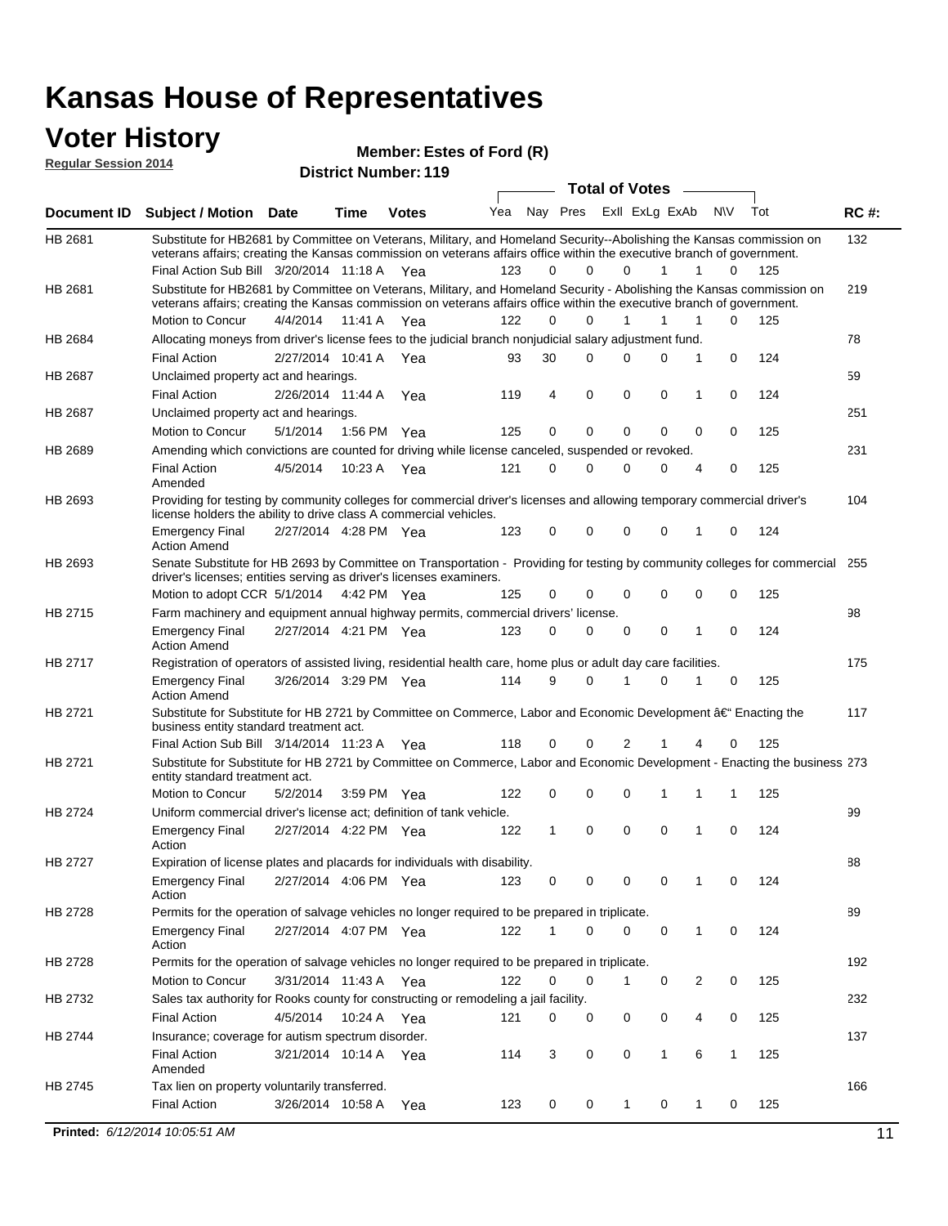#### **Voter History**

**Regular Session 2014**

| nuyurur Uuddivii 4017 |                                                                                                                                                                                                                                                                                               |                       |             | <b>District Number: 119</b> |     |              |             |                         |             |     |              |     |             |
|-----------------------|-----------------------------------------------------------------------------------------------------------------------------------------------------------------------------------------------------------------------------------------------------------------------------------------------|-----------------------|-------------|-----------------------------|-----|--------------|-------------|-------------------------|-------------|-----|--------------|-----|-------------|
|                       |                                                                                                                                                                                                                                                                                               |                       |             |                             |     |              |             | <b>Total of Votes</b>   |             |     |              |     |             |
| <b>Document ID</b>    | <b>Subject / Motion Date</b>                                                                                                                                                                                                                                                                  |                       | <b>Time</b> | <b>Votes</b>                | Yea |              |             | Nay Pres Exll ExLg ExAb |             | N\V |              | Tot | <b>RC#:</b> |
| HB 2681               | Substitute for HB2681 by Committee on Veterans, Military, and Homeland Security--Abolishing the Kansas commission on<br>veterans affairs; creating the Kansas commission on veterans affairs office within the executive branch of government.<br>Final Action Sub Bill 3/20/2014 11:18 A Yea |                       |             |                             | 123 | 0            | $\Omega$    | $\Omega$                | 1           | 1   | 0            | 125 | 132         |
| HB 2681               | Substitute for HB2681 by Committee on Veterans, Military, and Homeland Security - Abolishing the Kansas commission on<br>veterans affairs; creating the Kansas commission on veterans affairs office within the executive branch of government.                                               |                       |             |                             |     |              |             |                         |             |     |              |     | 219         |
|                       | Motion to Concur                                                                                                                                                                                                                                                                              | 4/4/2014              | 11:41 A     | Yea                         | 122 | 0            | $\Omega$    | 1                       | 1           | 1   | $\Omega$     | 125 |             |
| HB 2684               | Allocating moneys from driver's license fees to the judicial branch nonjudicial salary adjustment fund.                                                                                                                                                                                       |                       |             |                             |     |              |             |                         |             |     |              |     | 78          |
|                       | <b>Final Action</b>                                                                                                                                                                                                                                                                           | 2/27/2014 10:41 A Yea |             |                             | 93  | 30           | $\Omega$    | 0                       | 0           | 1   | $\mathbf 0$  | 124 |             |
| <b>HB 2687</b>        | Unclaimed property act and hearings.                                                                                                                                                                                                                                                          |                       |             |                             |     |              |             |                         |             |     |              |     | 59          |
|                       | <b>Final Action</b>                                                                                                                                                                                                                                                                           | 2/26/2014 11:44 A     |             | Yea                         | 119 | 4            | $\mathbf 0$ | 0                       | $\mathbf 0$ | 1   | 0            | 124 |             |
| HB 2687               | Unclaimed property act and hearings.                                                                                                                                                                                                                                                          |                       |             |                             |     |              |             |                         |             |     |              |     | 251         |
|                       | Motion to Concur                                                                                                                                                                                                                                                                              | 5/1/2014              |             | 1:56 PM Yea                 | 125 | 0            | 0           | 0                       | 0           | 0   | 0            | 125 |             |
| HB 2689               | Amending which convictions are counted for driving while license canceled, suspended or revoked.                                                                                                                                                                                              |                       |             |                             |     |              |             |                         |             |     |              |     | 231         |
|                       | <b>Final Action</b><br>Amended                                                                                                                                                                                                                                                                | 4/5/2014              | 10:23 A     | Yea                         | 121 | 0            | $\Omega$    | 0                       | 0           | 4   | 0            | 125 |             |
| HB 2693               | Providing for testing by community colleges for commercial driver's licenses and allowing temporary commercial driver's<br>license holders the ability to drive class A commercial vehicles.                                                                                                  |                       |             |                             |     |              |             |                         |             |     |              |     | 104         |
|                       | <b>Emergency Final</b><br><b>Action Amend</b>                                                                                                                                                                                                                                                 | 2/27/2014 4:28 PM Yea |             |                             | 123 | 0            | 0           | 0                       | 0           | 1   | $\mathbf 0$  | 124 |             |
| HB 2693               | Senate Substitute for HB 2693 by Committee on Transportation - Providing for testing by community colleges for commercial<br>driver's licenses; entities serving as driver's licenses examiners.                                                                                              |                       |             |                             |     |              |             |                         |             |     |              |     | 255         |
|                       | Motion to adopt CCR 5/1/2014                                                                                                                                                                                                                                                                  |                       |             | 4:42 PM Yea                 | 125 | 0            | $\Omega$    | 0                       | 0           | 0   | $\mathbf 0$  | 125 |             |
| HB 2715               | Farm machinery and equipment annual highway permits, commercial drivers' license.                                                                                                                                                                                                             |                       |             |                             |     |              |             |                         |             |     |              |     | 98          |
|                       | <b>Emergency Final</b><br><b>Action Amend</b>                                                                                                                                                                                                                                                 | 2/27/2014 4:21 PM Yea |             |                             | 123 | 0            | 0           | 0                       | 0           | 1   | $\mathbf 0$  | 124 |             |
| HB 2717               | Registration of operators of assisted living, residential health care, home plus or adult day care facilities.                                                                                                                                                                                |                       |             |                             |     |              |             |                         |             |     |              |     | 175         |
|                       | <b>Emergency Final</b><br><b>Action Amend</b>                                                                                                                                                                                                                                                 | 3/26/2014 3:29 PM Yea |             |                             | 114 | 9            | $\Omega$    | 1                       | 0           | 1   | 0            | 125 |             |
| HB 2721               | Substitute for Substitute for HB 2721 by Committee on Commerce, Labor and Economic Development †Enacting the<br>business entity standard treatment act.                                                                                                                                       |                       |             |                             |     |              |             |                         |             |     |              |     | 117         |
|                       | Final Action Sub Bill 3/14/2014 11:23 A Yea                                                                                                                                                                                                                                                   |                       |             |                             | 118 | 0            | $\Omega$    | 2                       |             |     | 0            | 125 |             |
| HB 2721               | Substitute for Substitute for HB 2721 by Committee on Commerce, Labor and Economic Development - Enacting the business 273<br>entity standard treatment act.                                                                                                                                  |                       |             |                             |     |              |             |                         |             |     |              |     |             |
|                       | Motion to Concur                                                                                                                                                                                                                                                                              | 5/2/2014              |             | 3:59 PM Yea                 | 122 | 0            | 0           | 0                       | 1           | 1   | 1            | 125 |             |
| HB 2724               | Uniform commercial driver's license act; definition of tank vehicle.                                                                                                                                                                                                                          |                       |             |                             |     |              |             |                         |             |     |              |     | 99          |
|                       | <b>Emergency Final</b><br>Action                                                                                                                                                                                                                                                              | 2/27/2014 4:22 PM Yea |             |                             | 122 | $\mathbf{1}$ | 0           | 0                       | 0           | 1   | 0            | 124 |             |
| HB 2727               | Expiration of license plates and placards for individuals with disability.                                                                                                                                                                                                                    |                       |             |                             |     |              |             |                         |             |     |              |     | 88          |
|                       | <b>Emergency Final</b><br>Action                                                                                                                                                                                                                                                              | 2/27/2014 4:06 PM Yea |             |                             | 123 | 0            | 0           | 0                       | 0           | 1   | 0            | 124 |             |
| HB 2728               | Permits for the operation of salvage vehicles no longer required to be prepared in triplicate.                                                                                                                                                                                                |                       |             |                             |     |              |             |                         |             |     |              |     | 89          |
|                       | <b>Emergency Final</b><br>Action                                                                                                                                                                                                                                                              | 2/27/2014 4:07 PM Yea |             |                             | 122 | 1            | 0           | 0                       | 0           | 1   | 0            | 124 |             |
| HB 2728               | Permits for the operation of salvage vehicles no longer required to be prepared in triplicate.                                                                                                                                                                                                |                       |             |                             |     |              |             |                         |             |     |              |     | 192         |
|                       | Motion to Concur                                                                                                                                                                                                                                                                              | 3/31/2014 11:43 A Yea |             |                             | 122 | 0            | 0           | 1                       | 0           | 2   | 0            | 125 |             |
| HB 2732               | Sales tax authority for Rooks county for constructing or remodeling a jail facility.                                                                                                                                                                                                          |                       |             |                             |     |              |             |                         |             |     |              |     | 232         |
|                       | <b>Final Action</b>                                                                                                                                                                                                                                                                           | 4/5/2014              |             | 10:24 A Yea                 | 121 | 0            | 0           | 0                       | 0           | 4   | 0            | 125 |             |
| HB 2744               | Insurance; coverage for autism spectrum disorder.                                                                                                                                                                                                                                             |                       |             |                             |     |              |             |                         |             |     |              |     | 137         |
|                       | <b>Final Action</b>                                                                                                                                                                                                                                                                           | 3/21/2014 10:14 A Yea |             |                             | 114 | 3            | 0           | 0                       | 1           | 6   | $\mathbf{1}$ | 125 |             |
|                       | Amended                                                                                                                                                                                                                                                                                       |                       |             |                             |     |              |             |                         |             |     |              |     |             |
| HB 2745               | Tax lien on property voluntarily transferred.                                                                                                                                                                                                                                                 |                       |             |                             |     |              |             |                         |             |     |              |     | 166         |
|                       | <b>Final Action</b>                                                                                                                                                                                                                                                                           | 3/26/2014 10:58 A     |             | Yea                         | 123 | 0            | 0           | 1                       | 0           | 1   | 0            | 125 |             |
|                       | Printed: 6/12/2014 10:05:51 AM                                                                                                                                                                                                                                                                |                       |             |                             |     |              |             |                         |             |     |              |     | 11          |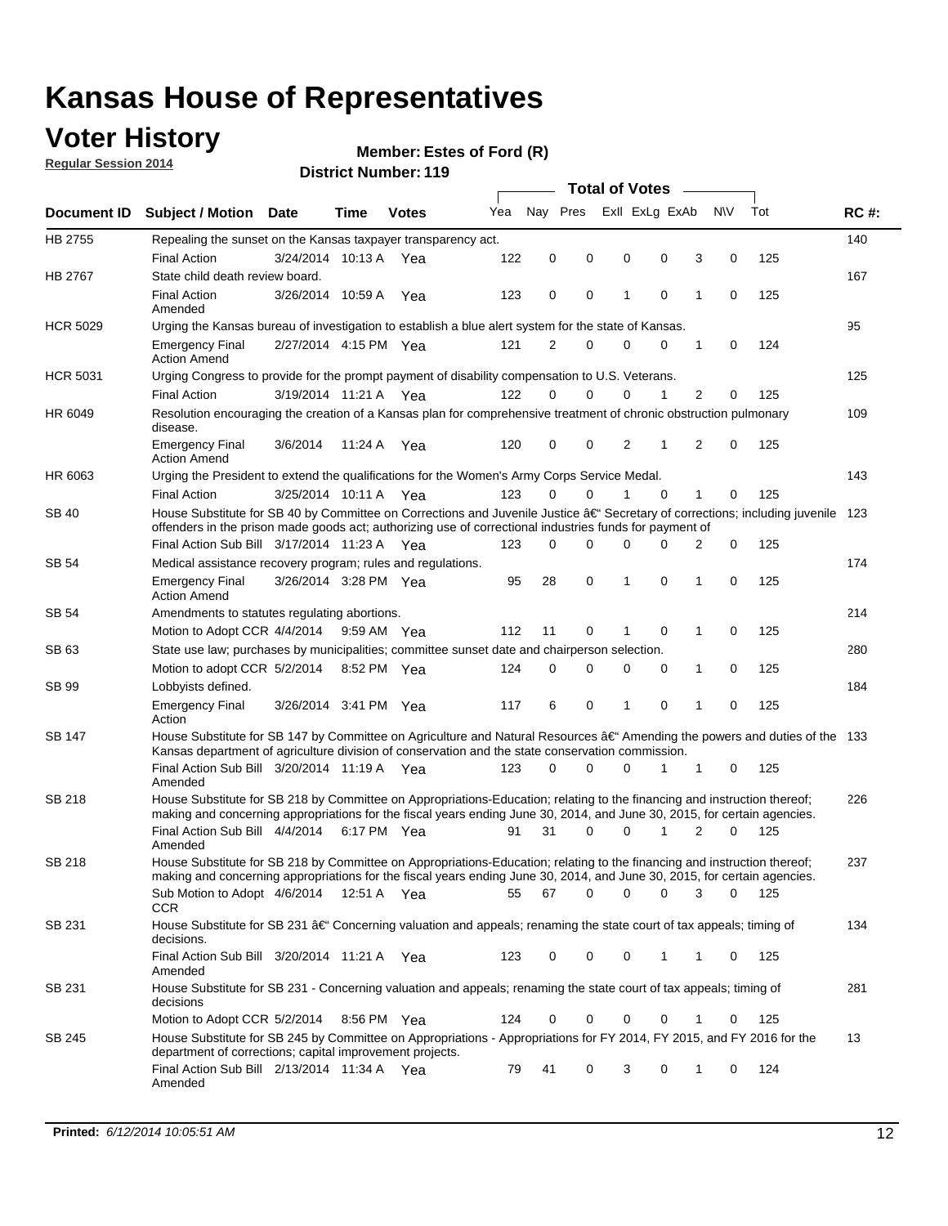### **Voter History**

**Regular Session 2014**

#### **Member: Estes of Ford (R)**

|                 |                                                                                                                                                                                                                                                      |                       |             |              |     |          |          | <b>Total of Votes</b> |          |   |             |       |             |
|-----------------|------------------------------------------------------------------------------------------------------------------------------------------------------------------------------------------------------------------------------------------------------|-----------------------|-------------|--------------|-----|----------|----------|-----------------------|----------|---|-------------|-------|-------------|
|                 | Document ID Subject / Motion Date                                                                                                                                                                                                                    |                       | Time        | <b>Votes</b> | Yea | Nav Pres |          | Exll ExLg ExAb        |          |   | <b>NV</b>   | Tot   | <b>RC#:</b> |
| HB 2755         | Repealing the sunset on the Kansas taxpayer transparency act.                                                                                                                                                                                        |                       |             |              |     |          |          |                       |          |   |             |       | 140         |
|                 | <b>Final Action</b>                                                                                                                                                                                                                                  | 3/24/2014 10:13 A     |             | Yea          | 122 | 0        | 0        | 0                     | 0        | 3 | 0           | 125   |             |
| HB 2767         | State child death review board.                                                                                                                                                                                                                      |                       |             |              |     |          |          |                       |          |   |             |       | 167         |
|                 | <b>Final Action</b><br>Amended                                                                                                                                                                                                                       | 3/26/2014 10:59 A     |             | Yea          | 123 | 0        | 0        | 1                     | 0        | 1 | 0           | 125   |             |
| <b>HCR 5029</b> | Urging the Kansas bureau of investigation to establish a blue alert system for the state of Kansas.                                                                                                                                                  |                       |             |              |     |          |          |                       |          |   |             |       | 95          |
|                 | <b>Emergency Final</b><br><b>Action Amend</b>                                                                                                                                                                                                        | 2/27/2014 4:15 PM Yea |             |              | 121 | 2        | 0        | 0                     | 0        | 1 | 0           | 124   |             |
| <b>HCR 5031</b> | Urging Congress to provide for the prompt payment of disability compensation to U.S. Veterans.                                                                                                                                                       |                       |             |              |     |          |          |                       |          |   |             |       | 125         |
|                 | <b>Final Action</b>                                                                                                                                                                                                                                  | 3/19/2014 11:21 A Yea |             |              | 122 | $\Omega$ | $\Omega$ | 0                     | 1        | 2 | 0           | 125   |             |
| HR 6049         | Resolution encouraging the creation of a Kansas plan for comprehensive treatment of chronic obstruction pulmonary<br>disease.                                                                                                                        |                       |             |              |     |          |          |                       |          |   |             |       | 109         |
|                 | <b>Emergency Final</b><br><b>Action Amend</b>                                                                                                                                                                                                        | 3/6/2014              | 11:24 A Yea |              | 120 | 0        | 0        | 2                     | 1        | 2 | $\mathbf 0$ | 125   |             |
| HR 6063         | Urging the President to extend the qualifications for the Women's Army Corps Service Medal.                                                                                                                                                          |                       |             |              |     |          |          |                       |          |   |             |       | 143         |
|                 | <b>Final Action</b>                                                                                                                                                                                                                                  | 3/25/2014 10:11 A Yea |             |              | 123 | $\Omega$ | 0        | 1                     | $\Omega$ | 1 | 0           | 125   |             |
| <b>SB 40</b>    | House Substitute for SB 40 by Committee on Corrections and Juvenile Justice †Secretary of corrections; including juvenile<br>offenders in the prison made goods act; authorizing use of correctional industries funds for payment of                 |                       |             |              |     |          |          |                       |          |   |             |       | 123         |
|                 | Final Action Sub Bill 3/17/2014 11:23 A Yea                                                                                                                                                                                                          |                       |             |              | 123 | $\Omega$ | 0        | 0                     | U        | 2 | 0           | 125   |             |
| SB 54           | Medical assistance recovery program; rules and regulations.                                                                                                                                                                                          |                       |             |              |     |          |          |                       |          |   |             |       | 174         |
|                 | <b>Emergency Final</b><br><b>Action Amend</b>                                                                                                                                                                                                        | 3/26/2014 3:28 PM Yea |             |              | 95  | 28       | 0        | 1                     | 0        | 1 | 0           | 125   |             |
| SB 54           | Amendments to statutes regulating abortions.                                                                                                                                                                                                         |                       |             |              |     |          |          |                       |          |   |             |       | 214         |
|                 | Motion to Adopt CCR 4/4/2014 9:59 AM Yea                                                                                                                                                                                                             |                       |             |              | 112 | 11       | 0        | 1                     | 0        | 1 | 0           | 125   |             |
| SB 63           | State use law; purchases by municipalities; committee sunset date and chairperson selection.                                                                                                                                                         |                       |             |              |     |          |          |                       |          |   |             |       | 280         |
|                 | Motion to adopt CCR 5/2/2014 8:52 PM Yea                                                                                                                                                                                                             |                       |             |              | 124 | 0        | 0        | 0                     | 0        | 1 | 0           | 125   |             |
| SB 99           | Lobbyists defined.                                                                                                                                                                                                                                   |                       |             |              |     |          |          |                       |          |   |             |       | 184         |
|                 | <b>Emergency Final</b><br>Action                                                                                                                                                                                                                     | 3/26/2014 3:41 PM Yea |             |              | 117 | 6        | 0        | 1                     | 0        | 1 | 0           | 125   |             |
| SB 147          | House Substitute for SB 147 by Committee on Agriculture and Natural Resources †Amending the powers and duties of the 133<br>Kansas department of agriculture division of conservation and the state conservation commission.                         |                       |             |              |     |          |          |                       |          |   |             |       |             |
|                 | Final Action Sub Bill 3/20/2014 11:19 A Yea<br>Amended                                                                                                                                                                                               |                       |             |              | 123 | $\Omega$ | $\Omega$ | 0                     | 1        | 1 | 0           | 125   |             |
| SB 218          | House Substitute for SB 218 by Committee on Appropriations-Education; relating to the financing and instruction thereof;<br>making and concerning appropriations for the fiscal years ending June 30, 2014, and June 30, 2015, for certain agencies. |                       |             |              |     |          |          |                       |          |   |             |       | 226         |
|                 | Final Action Sub Bill 4/4/2014 6:17 PM Yea<br>Amended                                                                                                                                                                                                |                       |             |              | 91  | 31       | $\Omega$ | 0                     | 1        | 2 | $\Omega$    | 125   |             |
| SB 218          | House Substitute for SB 218 by Committee on Appropriations-Education; relating to the financing and instruction thereof;                                                                                                                             |                       |             |              |     |          |          |                       |          |   |             |       | 237         |
|                 | making and concerning appropriations for the fiscal years ending June 30, 2014, and June 30, 2015, for certain agencies.<br>Sub Motion to Adopt 4/6/2014 12:51 A Yea<br>CCR                                                                          |                       |             |              | 55  | 67       | 0        | 0                     | 0        | 3 | 0           | - 125 |             |
| SB 231          | House Substitute for SB 231 †Concerning valuation and appeals; renaming the state court of tax appeals; timing of<br>decisions.                                                                                                                      |                       |             |              |     |          |          |                       |          |   |             |       | 134         |
|                 | Final Action Sub Bill 3/20/2014 11:21 A Yea<br>Amended                                                                                                                                                                                               |                       |             |              | 123 | 0        | 0        | 0                     | 1        | 1 | 0           | 125   |             |
| SB 231          | House Substitute for SB 231 - Concerning valuation and appeals; renaming the state court of tax appeals; timing of<br>decisions                                                                                                                      |                       |             |              |     |          |          |                       |          |   |             |       | 281         |
|                 | Motion to Adopt CCR 5/2/2014                                                                                                                                                                                                                         |                       | 8:56 PM Yea |              | 124 | 0        | 0        | 0                     | 0        | 1 | 0           | 125   |             |
| SB 245          | House Substitute for SB 245 by Committee on Appropriations - Appropriations for FY 2014, FY 2015, and FY 2016 for the<br>department of corrections; capital improvement projects.                                                                    |                       |             |              |     |          |          |                       |          |   |             |       | 13          |
|                 | Final Action Sub Bill 2/13/2014 11:34 A Yea<br>Amended                                                                                                                                                                                               |                       |             |              | 79  | 41       | 0        | 3                     | 0        | 1 | 0           | 124   |             |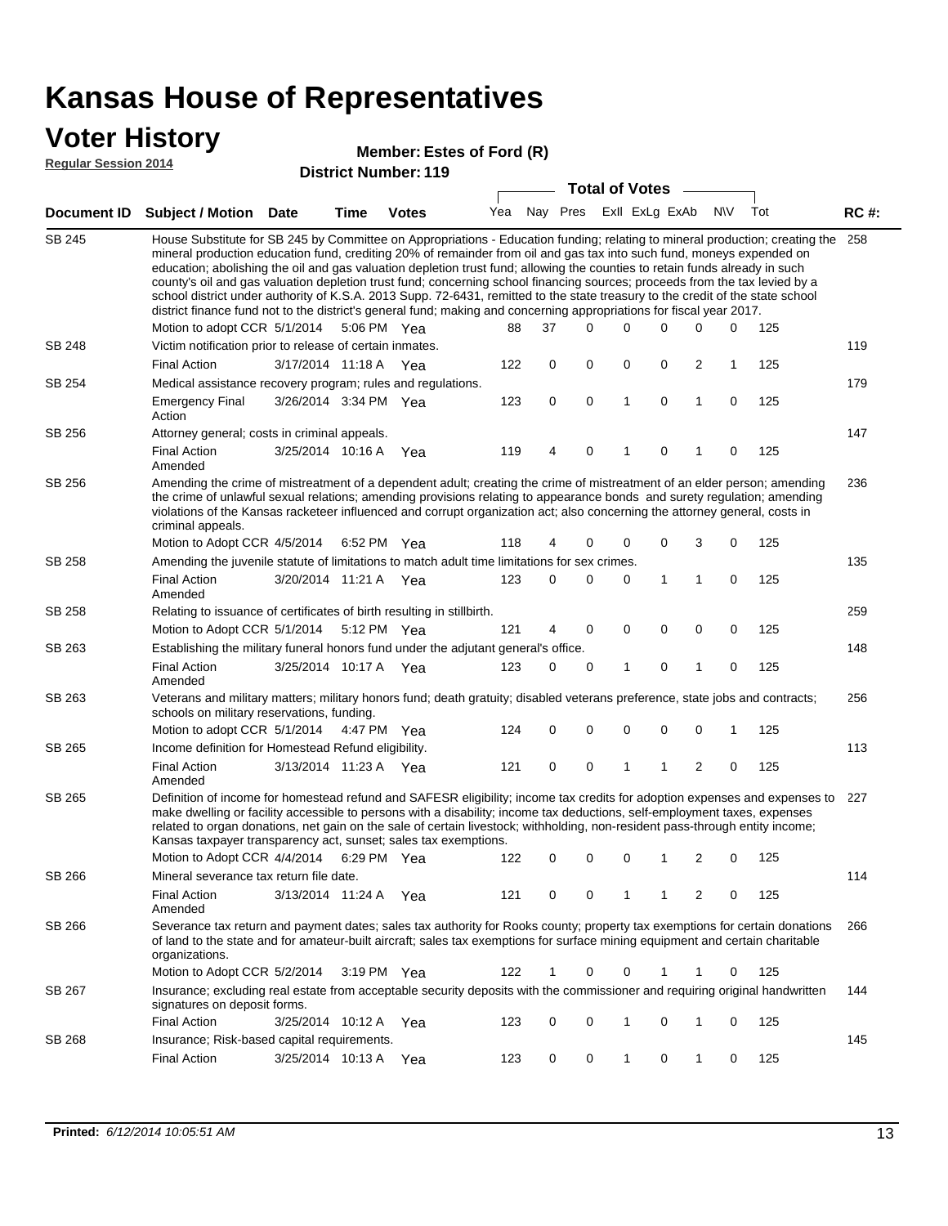#### **Voter History**

#### **Member: Estes of Ford (R)**

**Regular Session 2014**

|               |                                                                                                                                                                                                                                                                                                                                                                                                                                                                                                                                                                                                                                                                                                                                                                                                               |                       | u ivt Ituliinui   |              |     |    | <b>Total of Votes</b>   |              |              |                |             |     |             |
|---------------|---------------------------------------------------------------------------------------------------------------------------------------------------------------------------------------------------------------------------------------------------------------------------------------------------------------------------------------------------------------------------------------------------------------------------------------------------------------------------------------------------------------------------------------------------------------------------------------------------------------------------------------------------------------------------------------------------------------------------------------------------------------------------------------------------------------|-----------------------|-------------------|--------------|-----|----|-------------------------|--------------|--------------|----------------|-------------|-----|-------------|
|               | Document ID Subject / Motion                                                                                                                                                                                                                                                                                                                                                                                                                                                                                                                                                                                                                                                                                                                                                                                  | Date                  | <b>Time</b>       | <b>Votes</b> | Yea |    | Nay Pres Exll ExLg ExAb |              |              |                | N\V         | Tot | <b>RC#:</b> |
| <b>SB 245</b> | House Substitute for SB 245 by Committee on Appropriations - Education funding; relating to mineral production; creating the<br>mineral production education fund, crediting 20% of remainder from oil and gas tax into such fund, moneys expended on<br>education; abolishing the oil and gas valuation depletion trust fund; allowing the counties to retain funds already in such<br>county's oil and gas valuation depletion trust fund; concerning school financing sources; proceeds from the tax levied by a<br>school district under authority of K.S.A. 2013 Supp. 72-6431, remitted to the state treasury to the credit of the state school<br>district finance fund not to the district's general fund; making and concerning appropriations for fiscal year 2017.<br>Motion to adopt CCR 5/1/2014 |                       |                   | 5:06 PM Yea  | 88  | 37 | $\Omega$                | 0            | 0            | $\Omega$       | 0           | 125 | 258         |
| <b>SB 248</b> | Victim notification prior to release of certain inmates.                                                                                                                                                                                                                                                                                                                                                                                                                                                                                                                                                                                                                                                                                                                                                      |                       |                   |              |     |    |                         |              |              |                |             |     | 119         |
|               | <b>Final Action</b>                                                                                                                                                                                                                                                                                                                                                                                                                                                                                                                                                                                                                                                                                                                                                                                           | 3/17/2014 11:18 A     |                   | Yea          | 122 | 0  | 0                       | 0            | 0            | $\overline{2}$ | 1           | 125 |             |
| SB 254        | Medical assistance recovery program; rules and regulations.                                                                                                                                                                                                                                                                                                                                                                                                                                                                                                                                                                                                                                                                                                                                                   |                       |                   |              |     |    |                         |              |              |                |             |     | 179         |
|               | <b>Emergency Final</b><br>Action                                                                                                                                                                                                                                                                                                                                                                                                                                                                                                                                                                                                                                                                                                                                                                              | 3/26/2014 3:34 PM Yea |                   |              | 123 | 0  | 0                       | 1            | 0            | $\mathbf{1}$   | $\mathbf 0$ | 125 |             |
| SB 256        | Attorney general; costs in criminal appeals.                                                                                                                                                                                                                                                                                                                                                                                                                                                                                                                                                                                                                                                                                                                                                                  |                       |                   |              |     |    |                         |              |              |                |             |     | 147         |
|               | <b>Final Action</b><br>Amended                                                                                                                                                                                                                                                                                                                                                                                                                                                                                                                                                                                                                                                                                                                                                                                | 3/25/2014 10:16 A     |                   | Yea          | 119 | 4  | 0                       | 1            | 0            | 1              | 0           | 125 |             |
| SB 256        | Amending the crime of mistreatment of a dependent adult; creating the crime of mistreatment of an elder person; amending<br>the crime of unlawful sexual relations; amending provisions relating to appearance bonds and surety regulation; amending<br>violations of the Kansas racketeer influenced and corrupt organization act; also concerning the attorney general, costs in<br>criminal appeals.                                                                                                                                                                                                                                                                                                                                                                                                       |                       |                   |              |     |    |                         |              |              |                |             |     | 236         |
|               | Motion to Adopt CCR 4/5/2014                                                                                                                                                                                                                                                                                                                                                                                                                                                                                                                                                                                                                                                                                                                                                                                  |                       |                   | 6:52 PM Yea  | 118 | 4  | 0                       | 0            | 0            | 3              | 0           | 125 |             |
| SB 258        | Amending the juvenile statute of limitations to match adult time limitations for sex crimes.                                                                                                                                                                                                                                                                                                                                                                                                                                                                                                                                                                                                                                                                                                                  |                       |                   |              |     |    |                         |              |              |                |             |     | 135         |
|               | <b>Final Action</b><br>Amended                                                                                                                                                                                                                                                                                                                                                                                                                                                                                                                                                                                                                                                                                                                                                                                | 3/20/2014 11:21 A Yea |                   |              | 123 | 0  | 0                       | 0            | $\mathbf{1}$ | 1              | 0           | 125 |             |
| SB 258        | Relating to issuance of certificates of birth resulting in stillbirth.                                                                                                                                                                                                                                                                                                                                                                                                                                                                                                                                                                                                                                                                                                                                        |                       |                   |              |     |    |                         |              |              |                |             |     | 259         |
|               | Motion to Adopt CCR 5/1/2014 5:12 PM Yea                                                                                                                                                                                                                                                                                                                                                                                                                                                                                                                                                                                                                                                                                                                                                                      |                       |                   |              | 121 | 4  | 0                       | $\mathbf 0$  | $\mathbf 0$  | 0              | $\mathbf 0$ | 125 |             |
| SB 263        | Establishing the military funeral honors fund under the adjutant general's office.                                                                                                                                                                                                                                                                                                                                                                                                                                                                                                                                                                                                                                                                                                                            |                       |                   |              |     |    |                         |              | $\mathbf 0$  |                |             |     | 148         |
|               | <b>Final Action</b><br>Amended                                                                                                                                                                                                                                                                                                                                                                                                                                                                                                                                                                                                                                                                                                                                                                                | 3/25/2014 10:17 A Yea |                   |              | 123 | 0  | 0                       | 1            |              | 1              | 0           | 125 |             |
| SB 263        | Veterans and military matters; military honors fund; death gratuity; disabled veterans preference, state jobs and contracts;<br>schools on military reservations, funding.                                                                                                                                                                                                                                                                                                                                                                                                                                                                                                                                                                                                                                    |                       |                   |              |     |    |                         |              |              |                |             |     | 256         |
|               | Motion to adopt CCR 5/1/2014 4:47 PM Yea                                                                                                                                                                                                                                                                                                                                                                                                                                                                                                                                                                                                                                                                                                                                                                      |                       |                   |              | 124 | 0  | 0                       | 0            | 0            | 0              | 1           | 125 |             |
| SB 265        | Income definition for Homestead Refund eligibility.                                                                                                                                                                                                                                                                                                                                                                                                                                                                                                                                                                                                                                                                                                                                                           |                       |                   |              |     |    |                         |              |              |                |             |     | 113         |
|               | <b>Final Action</b><br>Amended                                                                                                                                                                                                                                                                                                                                                                                                                                                                                                                                                                                                                                                                                                                                                                                | 3/13/2014 11:23 A Yea |                   |              | 121 | 0  | 0                       | 1            | 1            | $\overline{2}$ | 0           | 125 |             |
| SB 265        | Definition of income for homestead refund and SAFESR eligibility; income tax credits for adoption expenses and expenses to<br>make dwelling or facility accessible to persons with a disability; income tax deductions, self-employment taxes, expenses<br>related to organ donations, net gain on the sale of certain livestock; withholding, non-resident pass-through entity income;<br>Kansas taxpayer transparency act, sunset; sales tax exemptions.<br>Motion to Adopt CCR 4/4/2014 6:29 PM Yea                                                                                                                                                                                                                                                                                                        |                       |                   |              | 122 | 0  | 0                       | 0            | 1            | 2              | 0           | 125 | 227         |
| SB 266        | Mineral severance tax return file date.                                                                                                                                                                                                                                                                                                                                                                                                                                                                                                                                                                                                                                                                                                                                                                       |                       |                   |              |     |    |                         |              |              |                |             |     | 114         |
|               | <b>Final Action</b><br>Amended                                                                                                                                                                                                                                                                                                                                                                                                                                                                                                                                                                                                                                                                                                                                                                                |                       | 3/13/2014 11:24 A | Yea          | 121 | 0  | 0                       | 1            | 1            | 2              | 0           | 125 |             |
| SB 266        | Severance tax return and payment dates; sales tax authority for Rooks county; property tax exemptions for certain donations<br>of land to the state and for amateur-built aircraft; sales tax exemptions for surface mining equipment and certain charitable<br>organizations.                                                                                                                                                                                                                                                                                                                                                                                                                                                                                                                                |                       |                   |              |     |    |                         |              |              |                |             |     | 266         |
|               | Motion to Adopt CCR 5/2/2014                                                                                                                                                                                                                                                                                                                                                                                                                                                                                                                                                                                                                                                                                                                                                                                  |                       |                   | 3:19 PM Yea  | 122 | 1  | 0                       | 0            | 1            | 1              | 0           | 125 |             |
| SB 267        | Insurance; excluding real estate from acceptable security deposits with the commissioner and requiring original handwritten<br>signatures on deposit forms.                                                                                                                                                                                                                                                                                                                                                                                                                                                                                                                                                                                                                                                   |                       |                   |              |     |    |                         |              |              |                |             |     | 144         |
|               | <b>Final Action</b>                                                                                                                                                                                                                                                                                                                                                                                                                                                                                                                                                                                                                                                                                                                                                                                           | 3/25/2014 10:12 A Yea |                   |              | 123 | 0  | 0                       | 1            | 0            | 1              | 0           | 125 |             |
| SB 268        | Insurance; Risk-based capital requirements.                                                                                                                                                                                                                                                                                                                                                                                                                                                                                                                                                                                                                                                                                                                                                                   |                       |                   |              |     |    |                         |              |              |                |             |     | 145         |
|               | <b>Final Action</b>                                                                                                                                                                                                                                                                                                                                                                                                                                                                                                                                                                                                                                                                                                                                                                                           | 3/25/2014 10:13 A Yea |                   |              | 123 | 0  | 0                       | $\mathbf{1}$ | 0            | $\mathbf{1}$   | 0           | 125 |             |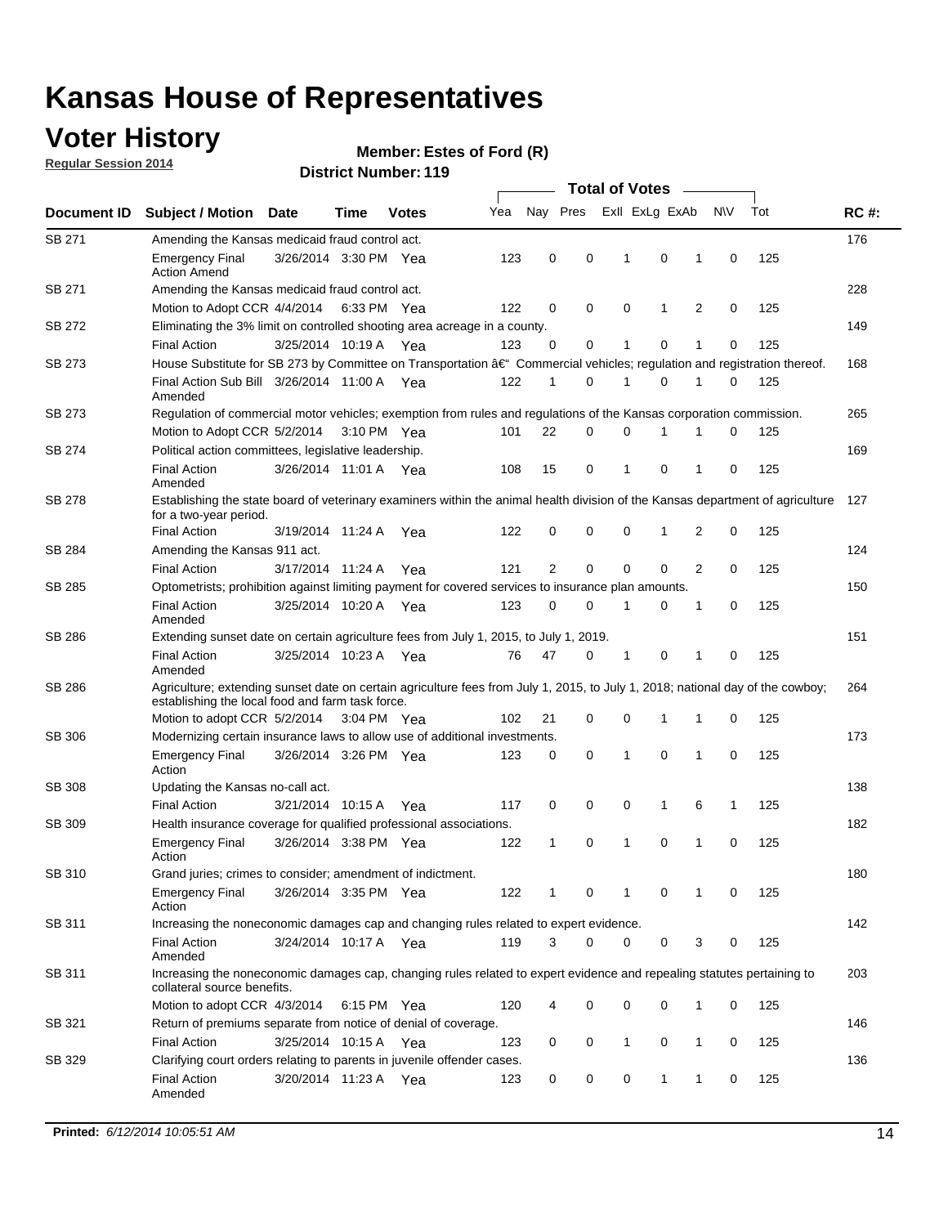### **Voter History**

**Regular Session 2014**

#### **Member: Estes of Ford (R)**

| Nay Pres<br>Exll ExLg ExAb<br>N\V<br>Tot<br>Yea<br>Document ID<br><b>Subject / Motion Date</b><br><b>Votes</b><br>Time<br>SB 271<br>Amending the Kansas medicaid fraud control act.<br>0<br>0<br>0<br>125<br><b>Emergency Final</b><br>3/26/2014 3:30 PM Yea<br>123<br>-1<br>1<br>0<br><b>Action Amend</b><br>SB 271<br>Amending the Kansas medicaid fraud control act.<br>125<br>Motion to Adopt CCR 4/4/2014 6:33 PM Yea<br>122<br>0<br>0<br>0<br>1<br>2<br>0<br>SB 272<br>Eliminating the 3% limit on controlled shooting area acreage in a county.<br>125<br>3/25/2014 10:19 A Yea<br>123<br>0<br>0<br>1<br>0<br>1<br>0<br><b>Final Action</b><br>House Substitute for SB 273 by Committee on Transportation †Commercial vehicles; regulation and registration thereof.<br>SB 273<br>Final Action Sub Bill 3/26/2014 11:00 A Yea<br>122<br>0<br>1<br>0<br>125<br>1<br>1<br>0<br>Amended<br>SB 273<br>Regulation of commercial motor vehicles; exemption from rules and regulations of the Kansas corporation commission.<br>22<br>0<br>0<br>125<br>Motion to Adopt CCR 5/2/2014 3:10 PM Yea<br>101<br>1<br>1<br>0<br>SB 274<br>Political action committees, legislative leadership. |             |
|-----------------------------------------------------------------------------------------------------------------------------------------------------------------------------------------------------------------------------------------------------------------------------------------------------------------------------------------------------------------------------------------------------------------------------------------------------------------------------------------------------------------------------------------------------------------------------------------------------------------------------------------------------------------------------------------------------------------------------------------------------------------------------------------------------------------------------------------------------------------------------------------------------------------------------------------------------------------------------------------------------------------------------------------------------------------------------------------------------------------------------------------------------------------------------------------|-------------|
|                                                                                                                                                                                                                                                                                                                                                                                                                                                                                                                                                                                                                                                                                                                                                                                                                                                                                                                                                                                                                                                                                                                                                                                         | <b>RC#:</b> |
|                                                                                                                                                                                                                                                                                                                                                                                                                                                                                                                                                                                                                                                                                                                                                                                                                                                                                                                                                                                                                                                                                                                                                                                         | 176         |
|                                                                                                                                                                                                                                                                                                                                                                                                                                                                                                                                                                                                                                                                                                                                                                                                                                                                                                                                                                                                                                                                                                                                                                                         |             |
|                                                                                                                                                                                                                                                                                                                                                                                                                                                                                                                                                                                                                                                                                                                                                                                                                                                                                                                                                                                                                                                                                                                                                                                         | 228         |
|                                                                                                                                                                                                                                                                                                                                                                                                                                                                                                                                                                                                                                                                                                                                                                                                                                                                                                                                                                                                                                                                                                                                                                                         |             |
|                                                                                                                                                                                                                                                                                                                                                                                                                                                                                                                                                                                                                                                                                                                                                                                                                                                                                                                                                                                                                                                                                                                                                                                         | 149         |
|                                                                                                                                                                                                                                                                                                                                                                                                                                                                                                                                                                                                                                                                                                                                                                                                                                                                                                                                                                                                                                                                                                                                                                                         |             |
|                                                                                                                                                                                                                                                                                                                                                                                                                                                                                                                                                                                                                                                                                                                                                                                                                                                                                                                                                                                                                                                                                                                                                                                         | 168         |
|                                                                                                                                                                                                                                                                                                                                                                                                                                                                                                                                                                                                                                                                                                                                                                                                                                                                                                                                                                                                                                                                                                                                                                                         |             |
|                                                                                                                                                                                                                                                                                                                                                                                                                                                                                                                                                                                                                                                                                                                                                                                                                                                                                                                                                                                                                                                                                                                                                                                         | 265         |
|                                                                                                                                                                                                                                                                                                                                                                                                                                                                                                                                                                                                                                                                                                                                                                                                                                                                                                                                                                                                                                                                                                                                                                                         |             |
|                                                                                                                                                                                                                                                                                                                                                                                                                                                                                                                                                                                                                                                                                                                                                                                                                                                                                                                                                                                                                                                                                                                                                                                         | 169         |
| $\mathbf 0$<br>15<br>0<br>$\mathbf{1}$<br>0<br>125<br><b>Final Action</b><br>3/26/2014 11:01 A Yea<br>108<br>1<br>Amended                                                                                                                                                                                                                                                                                                                                                                                                                                                                                                                                                                                                                                                                                                                                                                                                                                                                                                                                                                                                                                                               |             |
| <b>SB 278</b><br>Establishing the state board of veterinary examiners within the animal health division of the Kansas department of agriculture<br>for a two-year period.                                                                                                                                                                                                                                                                                                                                                                                                                                                                                                                                                                                                                                                                                                                                                                                                                                                                                                                                                                                                               | 127         |
| <b>Final Action</b><br>125<br>3/19/2014 11:24 A<br>122<br>0<br>0<br>0<br>1<br>2<br>0<br>Yea                                                                                                                                                                                                                                                                                                                                                                                                                                                                                                                                                                                                                                                                                                                                                                                                                                                                                                                                                                                                                                                                                             |             |
| SB 284<br>Amending the Kansas 911 act.                                                                                                                                                                                                                                                                                                                                                                                                                                                                                                                                                                                                                                                                                                                                                                                                                                                                                                                                                                                                                                                                                                                                                  | 124         |
| 2<br>$\mathbf 0$<br>$\mathbf 0$<br>$\mathbf 0$<br>2<br>125<br>3/17/2014 11:24 A<br>121<br>0<br><b>Final Action</b><br>Yea                                                                                                                                                                                                                                                                                                                                                                                                                                                                                                                                                                                                                                                                                                                                                                                                                                                                                                                                                                                                                                                               |             |
| SB 285<br>Optometrists; prohibition against limiting payment for covered services to insurance plan amounts.                                                                                                                                                                                                                                                                                                                                                                                                                                                                                                                                                                                                                                                                                                                                                                                                                                                                                                                                                                                                                                                                            | 150         |
| 125<br>3/25/2014 10:20 A Yea<br>0<br>0<br>$\mathbf 0$<br><b>Final Action</b><br>123<br>$\mathbf{1}$<br>0<br>1<br>Amended                                                                                                                                                                                                                                                                                                                                                                                                                                                                                                                                                                                                                                                                                                                                                                                                                                                                                                                                                                                                                                                                |             |
| SB 286<br>Extending sunset date on certain agriculture fees from July 1, 2015, to July 1, 2019.                                                                                                                                                                                                                                                                                                                                                                                                                                                                                                                                                                                                                                                                                                                                                                                                                                                                                                                                                                                                                                                                                         | 151         |
| 3/25/2014 10:23 A Yea<br>47<br>0<br>0<br>125<br><b>Final Action</b><br>76<br>-1<br>1<br>0<br>Amended                                                                                                                                                                                                                                                                                                                                                                                                                                                                                                                                                                                                                                                                                                                                                                                                                                                                                                                                                                                                                                                                                    |             |
| SB 286<br>Agriculture; extending sunset date on certain agriculture fees from July 1, 2015, to July 1, 2018; national day of the cowboy;<br>establishing the local food and farm task force.                                                                                                                                                                                                                                                                                                                                                                                                                                                                                                                                                                                                                                                                                                                                                                                                                                                                                                                                                                                            | 264         |
| Motion to adopt CCR 5/2/2014 3:04 PM Yea<br>102<br>21<br>0<br>0<br>125<br>1<br>1<br>0                                                                                                                                                                                                                                                                                                                                                                                                                                                                                                                                                                                                                                                                                                                                                                                                                                                                                                                                                                                                                                                                                                   |             |
| <b>SB 306</b><br>Modernizing certain insurance laws to allow use of additional investments.                                                                                                                                                                                                                                                                                                                                                                                                                                                                                                                                                                                                                                                                                                                                                                                                                                                                                                                                                                                                                                                                                             | 173         |
| 0<br>1<br>0<br>1<br>0<br>125<br><b>Emergency Final</b><br>3/26/2014 3:26 PM Yea<br>123<br>0<br>Action                                                                                                                                                                                                                                                                                                                                                                                                                                                                                                                                                                                                                                                                                                                                                                                                                                                                                                                                                                                                                                                                                   |             |
| <b>SB 308</b><br>Updating the Kansas no-call act.                                                                                                                                                                                                                                                                                                                                                                                                                                                                                                                                                                                                                                                                                                                                                                                                                                                                                                                                                                                                                                                                                                                                       | 138         |
| 125<br>3/21/2014 10:15 A<br>0<br>0<br>0<br>$\mathbf{1}$<br>6<br><b>Final Action</b><br>117<br>1<br>Yea                                                                                                                                                                                                                                                                                                                                                                                                                                                                                                                                                                                                                                                                                                                                                                                                                                                                                                                                                                                                                                                                                  |             |
| SB 309<br>Health insurance coverage for qualified professional associations.                                                                                                                                                                                                                                                                                                                                                                                                                                                                                                                                                                                                                                                                                                                                                                                                                                                                                                                                                                                                                                                                                                            | 182         |
| 125<br>3/26/2014 3:38 PM Yea<br>$\mathbf{1}$<br>0<br>1<br>0<br>1<br>$\mathbf 0$<br><b>Emergency Final</b><br>122<br>Action                                                                                                                                                                                                                                                                                                                                                                                                                                                                                                                                                                                                                                                                                                                                                                                                                                                                                                                                                                                                                                                              |             |
| SB 310<br>Grand juries; crimes to consider; amendment of indictment.                                                                                                                                                                                                                                                                                                                                                                                                                                                                                                                                                                                                                                                                                                                                                                                                                                                                                                                                                                                                                                                                                                                    | 180         |
| 125<br><b>Emergency Final</b><br>3/26/2014 3:35 PM Yea<br>122<br>0<br>0<br>0<br>1<br>1<br>1<br>Action                                                                                                                                                                                                                                                                                                                                                                                                                                                                                                                                                                                                                                                                                                                                                                                                                                                                                                                                                                                                                                                                                   |             |
| SB 311<br>Increasing the noneconomic damages cap and changing rules related to expert evidence.                                                                                                                                                                                                                                                                                                                                                                                                                                                                                                                                                                                                                                                                                                                                                                                                                                                                                                                                                                                                                                                                                         | 142         |
| 3/24/2014 10:17 A Yea<br>119<br>3<br>$\Omega$<br>0<br>0<br>3<br>125<br><b>Final Action</b><br>0<br>Amended                                                                                                                                                                                                                                                                                                                                                                                                                                                                                                                                                                                                                                                                                                                                                                                                                                                                                                                                                                                                                                                                              |             |
| SB 311<br>Increasing the noneconomic damages cap, changing rules related to expert evidence and repealing statutes pertaining to<br>collateral source benefits.                                                                                                                                                                                                                                                                                                                                                                                                                                                                                                                                                                                                                                                                                                                                                                                                                                                                                                                                                                                                                         | 203         |
| 0<br>0<br>125<br>Motion to adopt CCR 4/3/2014 6:15 PM Yea<br>120<br>0<br>1<br>0                                                                                                                                                                                                                                                                                                                                                                                                                                                                                                                                                                                                                                                                                                                                                                                                                                                                                                                                                                                                                                                                                                         |             |
| SB 321<br>Return of premiums separate from notice of denial of coverage.                                                                                                                                                                                                                                                                                                                                                                                                                                                                                                                                                                                                                                                                                                                                                                                                                                                                                                                                                                                                                                                                                                                | 146         |
| 3/25/2014 10:15 A Yea<br>0<br>$\mathbf{1}$<br>0<br>125<br><b>Final Action</b><br>123<br>0<br>1<br>0                                                                                                                                                                                                                                                                                                                                                                                                                                                                                                                                                                                                                                                                                                                                                                                                                                                                                                                                                                                                                                                                                     |             |
| SB 329<br>Clarifying court orders relating to parents in juvenile offender cases.<br>3/20/2014 11:23 A Yea<br>0<br>125<br><b>Final Action</b><br>123<br>0<br>0<br>1<br>1<br>0<br>Amended                                                                                                                                                                                                                                                                                                                                                                                                                                                                                                                                                                                                                                                                                                                                                                                                                                                                                                                                                                                                | 136         |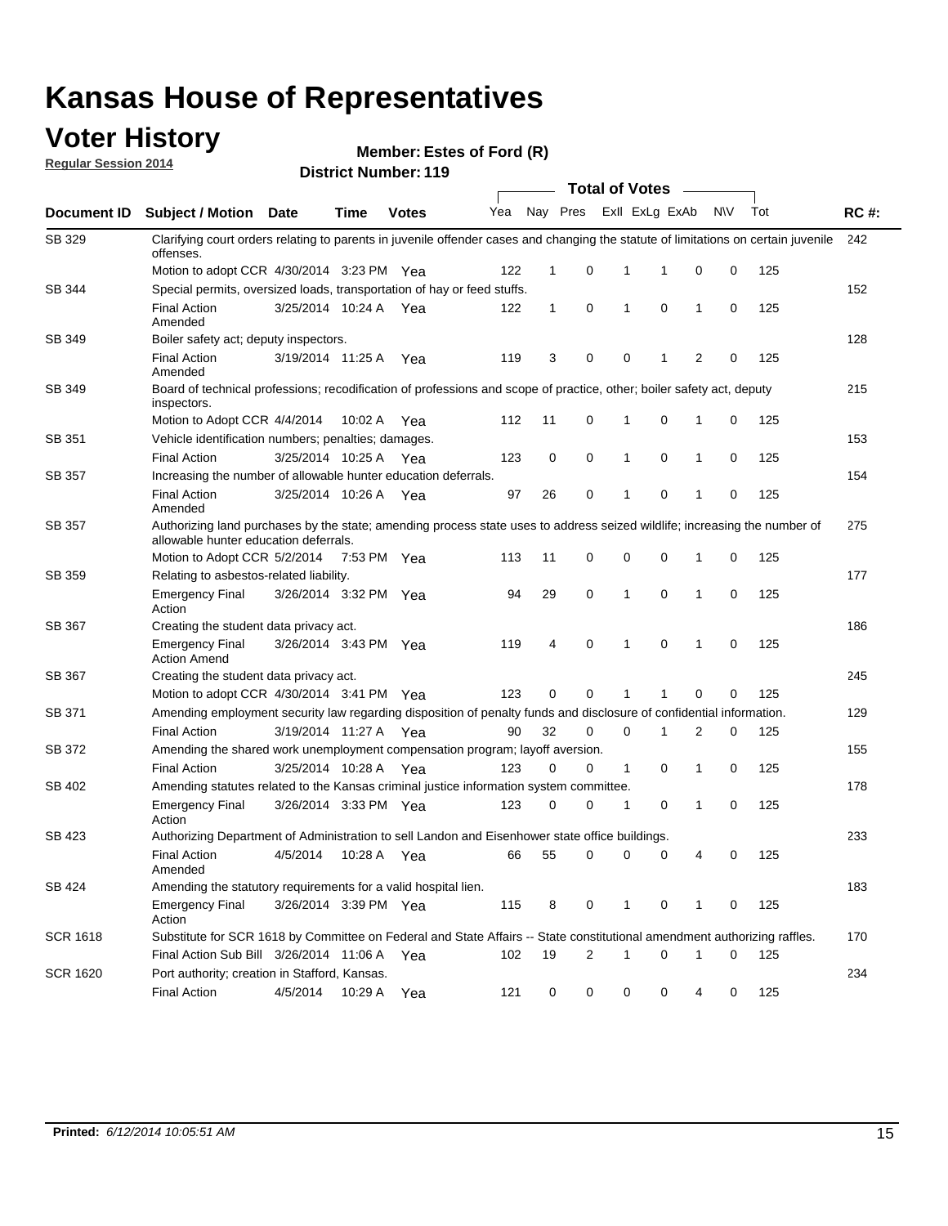### **Voter History**

**Regular Session 2014**

| <b>District Number: 119</b> |  |
|-----------------------------|--|
|                             |  |

|                 |                                                                                                                                                                    |                       |             |              | <b>Total of Votes</b> |              |   |                         |             |              |           |     |             |
|-----------------|--------------------------------------------------------------------------------------------------------------------------------------------------------------------|-----------------------|-------------|--------------|-----------------------|--------------|---|-------------------------|-------------|--------------|-----------|-----|-------------|
| Document ID     | <b>Subject / Motion Date</b>                                                                                                                                       |                       | Time        | <b>Votes</b> | Yea                   |              |   | Nay Pres ExII ExLg ExAb |             |              | <b>NV</b> | Tot | <b>RC#:</b> |
| SB 329          | Clarifying court orders relating to parents in juvenile offender cases and changing the statute of limitations on certain juvenile<br>offenses.                    |                       |             |              |                       |              |   |                         |             |              |           |     | 242         |
|                 | Motion to adopt CCR 4/30/2014 3:23 PM Yea                                                                                                                          |                       |             |              | 122                   | $\mathbf 1$  | 0 | 1                       | -1          | $\mathbf 0$  | 0         | 125 |             |
| SB 344          | Special permits, oversized loads, transportation of hay or feed stuffs.                                                                                            |                       |             |              |                       |              |   |                         |             |              |           |     | 152         |
|                 | <b>Final Action</b><br>Amended                                                                                                                                     | 3/25/2014 10:24 A     |             | Yea          | 122                   | $\mathbf{1}$ | 0 | $\mathbf{1}$            | $\mathbf 0$ | $\mathbf{1}$ | 0         | 125 |             |
| SB 349          | Boiler safety act; deputy inspectors.                                                                                                                              |                       |             |              |                       |              |   |                         |             |              |           |     | 128         |
|                 | <b>Final Action</b><br>Amended                                                                                                                                     | 3/19/2014 11:25 A     |             | Yea          | 119                   | 3            | 0 | 0                       | 1           | 2            | 0         | 125 |             |
| <b>SB 349</b>   | Board of technical professions; recodification of professions and scope of practice, other; boiler safety act, deputy<br>inspectors.                               |                       |             |              |                       |              |   |                         |             |              |           |     | 215         |
|                 | Motion to Adopt CCR 4/4/2014                                                                                                                                       |                       | 10:02 A     | Yea          | 112                   | 11           | 0 | 1                       | 0           | 1            | 0         | 125 |             |
| SB 351          | Vehicle identification numbers; penalties; damages.                                                                                                                |                       |             |              |                       |              |   |                         |             |              |           |     | 153         |
|                 | <b>Final Action</b>                                                                                                                                                | 3/25/2014 10:25 A     |             | Yea          | 123                   | 0            | 0 | $\mathbf{1}$            | 0           | 1            | 0         | 125 |             |
| <b>SB 357</b>   | Increasing the number of allowable hunter education deferrals.                                                                                                     |                       |             |              |                       |              |   |                         |             |              |           |     | 154         |
|                 | <b>Final Action</b><br>Amended                                                                                                                                     | 3/25/2014 10:26 A     |             | Yea          | 97                    | 26           | 0 | 1                       | 0           | 1            | 0         | 125 |             |
| SB 357          | Authorizing land purchases by the state; amending process state uses to address seized wildlife; increasing the number of<br>allowable hunter education deferrals. |                       |             |              |                       |              |   |                         |             |              |           |     | 275         |
|                 | Motion to Adopt CCR 5/2/2014                                                                                                                                       |                       | 7:53 PM Yea |              | 113                   | 11           | 0 | 0                       | 0           | 1            | 0         | 125 |             |
| SB 359          | Relating to asbestos-related liability.                                                                                                                            |                       |             |              |                       |              |   |                         |             |              | 177       |     |             |
|                 | <b>Emergency Final</b><br>Action                                                                                                                                   | 3/26/2014 3:32 PM Yea |             |              | 94                    | 29           | 0 | $\mathbf{1}$            | 0           | 1            | 0         | 125 |             |
| SB 367          | Creating the student data privacy act.                                                                                                                             |                       |             |              |                       |              |   |                         |             |              |           |     | 186         |
|                 | <b>Emergency Final</b><br><b>Action Amend</b>                                                                                                                      | 3/26/2014 3:43 PM Yea |             |              | 119                   | 4            | 0 | 1                       | 0           | 1            | 0         | 125 |             |
| <b>SB 367</b>   | Creating the student data privacy act.                                                                                                                             |                       |             |              |                       |              |   |                         |             |              |           |     | 245         |
|                 | Motion to adopt CCR 4/30/2014 3:41 PM Yea                                                                                                                          |                       |             |              | 123                   | 0            | 0 | 1                       | 1           | 0            | 0         | 125 |             |
| SB 371          | Amending employment security law regarding disposition of penalty funds and disclosure of confidential information.                                                |                       |             |              |                       |              |   |                         |             |              |           |     | 129         |
|                 | <b>Final Action</b>                                                                                                                                                | 3/19/2014 11:27 A Yea |             |              | 90                    | 32           | 0 | $\mathbf 0$             | 1           | 2            | 0         | 125 |             |
| SB 372          | Amending the shared work unemployment compensation program; layoff aversion.                                                                                       |                       |             |              |                       |              |   |                         |             |              |           |     | 155         |
|                 | <b>Final Action</b>                                                                                                                                                | 3/25/2014 10:28 A     |             | Yea          | 123                   | 0            | 0 | $\mathbf{1}$            | 0           | 1            | 0         | 125 |             |
| SB 402          | Amending statutes related to the Kansas criminal justice information system committee.                                                                             |                       |             |              |                       |              |   |                         |             |              |           |     | 178         |
|                 | <b>Emergency Final</b><br>Action                                                                                                                                   | 3/26/2014 3:33 PM Yea |             |              | 123                   | 0            | 0 | 1                       | 0           | 1            | 0         | 125 |             |
| SB 423          | Authorizing Department of Administration to sell Landon and Eisenhower state office buildings.                                                                     |                       |             |              |                       |              |   |                         |             |              |           |     | 233         |
|                 | <b>Final Action</b><br>Amended                                                                                                                                     | 4/5/2014              | 10:28 A     | Yea          | 66                    | 55           | 0 | 0                       | 0           | 4            | 0         | 125 |             |
| SB 424          | Amending the statutory requirements for a valid hospital lien.                                                                                                     |                       |             |              |                       |              |   |                         |             |              |           |     | 183         |
|                 | <b>Emergency Final</b><br>Action                                                                                                                                   | 3/26/2014 3:39 PM Yea |             |              | 115                   | 8            | 0 | 1                       | 0           | 1            | 0         | 125 |             |
| <b>SCR 1618</b> | Substitute for SCR 1618 by Committee on Federal and State Affairs -- State constitutional amendment authorizing raffles.                                           |                       |             |              |                       |              |   |                         |             |              |           |     | 170         |
|                 | Final Action Sub Bill 3/26/2014 11:06 A Yea                                                                                                                        |                       |             |              | 102                   | 19           | 2 | 1                       | 0           | 1            | 0         | 125 |             |
| <b>SCR 1620</b> | Port authority; creation in Stafford, Kansas.                                                                                                                      |                       |             |              |                       |              |   |                         |             |              |           |     | 234         |
|                 | <b>Final Action</b>                                                                                                                                                | 4/5/2014              | 10:29 A Yea |              | 121                   | 0            | 0 | 0                       | 0           | 4            | 0         | 125 |             |